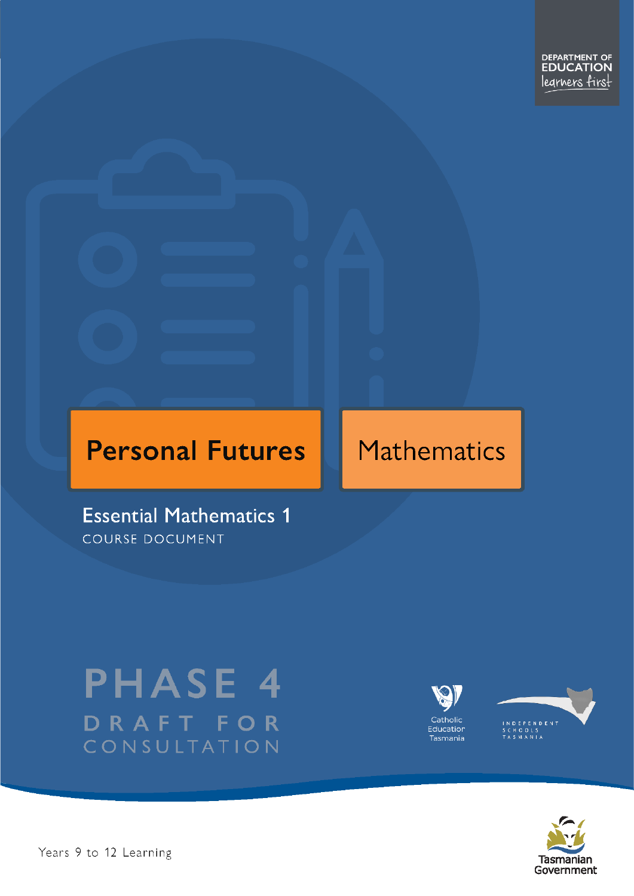# **Personal Futures**

# **Mathematics**

**Essential Mathematics 1** COURSE DOCUMENT

# **PHASE 4** DRAFT FOR CONSULTATION





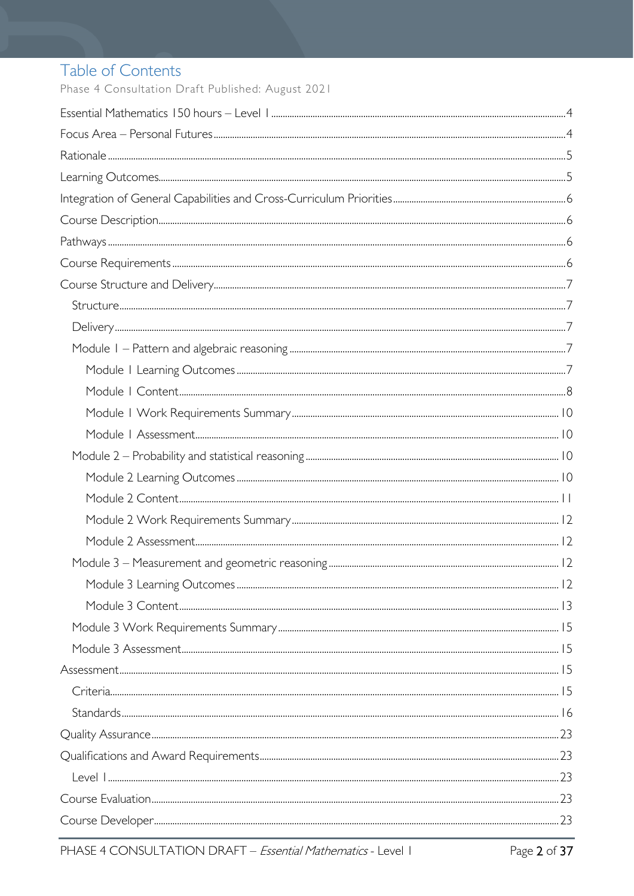## Table of Contents

Phase 4 Consultation Draft Published: August 2021

PHASE 4 CONSULTATION DRAFT - Essential Mathematics - Level 1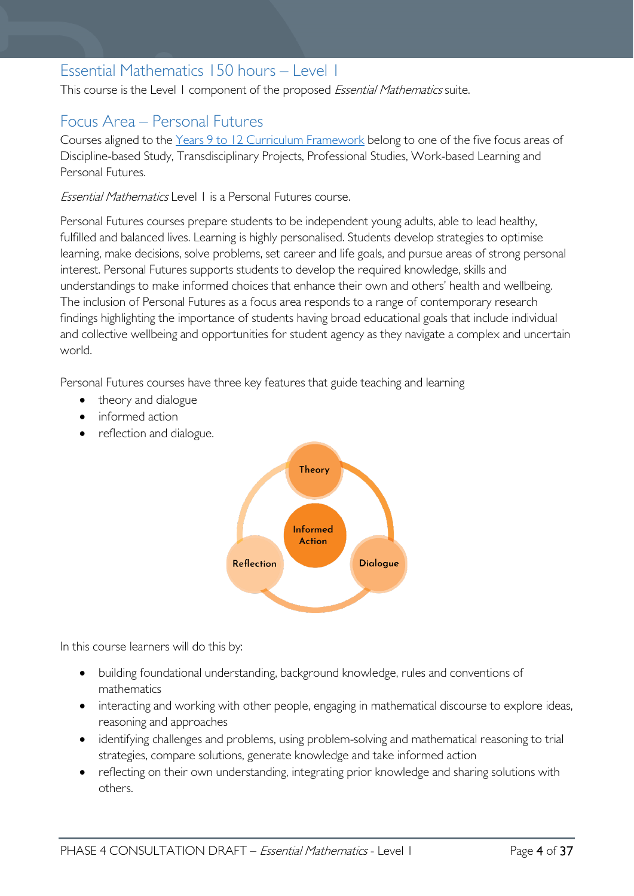## <span id="page-3-0"></span>Essential Mathematics 150 hours – Level 1

This course is the Level 1 component of the proposed *Essential Mathematics* suite.

## <span id="page-3-1"></span>Focus Area – Personal Futures

Courses aligned to the [Years 9 to 12 Curriculum Framework](https://publicdocumentcentre.education.tas.gov.au/library/Shared%20Documents/Education%209-12%20Frameworks%20A3%20WEB%20POSTER.pdf) belong to one of the five focus areas of Discipline-based Study, Transdisciplinary Projects, Professional Studies, Work-based Learning and Personal Futures.

#### Essential Mathematics Level 1 is a Personal Futures course.

Personal Futures courses prepare students to be independent young adults, able to lead healthy, fulfilled and balanced lives. Learning is highly personalised. Students develop strategies to optimise learning, make decisions, solve problems, set career and life goals, and pursue areas of strong personal interest. Personal Futures supports students to develop the required knowledge, skills and understandings to make informed choices that enhance their own and others' health and wellbeing. The inclusion of Personal Futures as a focus area responds to a range of contemporary research findings highlighting the importance of students having broad educational goals that include individual and collective wellbeing and opportunities for student agency as they navigate a complex and uncertain world.

Personal Futures courses have three key features that guide teaching and learning

- theory and dialogue
- informed action
- reflection and dialogue.



In this course learners will do this by:

- building foundational understanding, background knowledge, rules and conventions of mathematics
- interacting and working with other people, engaging in mathematical discourse to explore ideas, reasoning and approaches
- identifying challenges and problems, using problem-solving and mathematical reasoning to trial strategies, compare solutions, generate knowledge and take informed action
- reflecting on their own understanding, integrating prior knowledge and sharing solutions with others.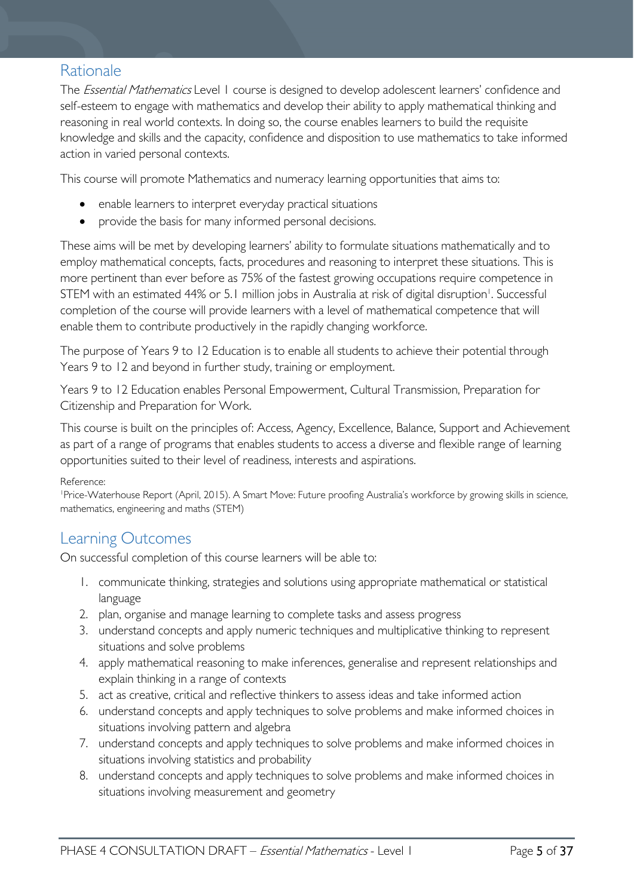## <span id="page-4-0"></span>Rationale

The *Essential Mathematics* Level 1 course is designed to develop adolescent learners' confidence and self-esteem to engage with mathematics and develop their ability to apply mathematical thinking and reasoning in real world contexts. In doing so, the course enables learners to build the requisite knowledge and skills and the capacity, confidence and disposition to use mathematics to take informed action in varied personal contexts.

This course will promote Mathematics and numeracy learning opportunities that aims to:

- enable learners to interpret everyday practical situations
- provide the basis for many informed personal decisions.

These aims will be met by developing learners' ability to formulate situations mathematically and to employ mathematical concepts, facts, procedures and reasoning to interpret these situations. This is more pertinent than ever before as 75% of the fastest growing occupations require competence in STEM with an estimated 44% or 5.1 million jobs in Australia at risk of digital disruption<sup>1</sup>. Successful completion of the course will provide learners with a level of mathematical competence that will enable them to contribute productively in the rapidly changing workforce.

The purpose of Years 9 to 12 Education is to enable all students to achieve their potential through Years 9 to 12 and beyond in further study, training or employment.

Years 9 to 12 Education enables Personal Empowerment, Cultural Transmission, Preparation for Citizenship and Preparation for Work.

This course is built on the principles of: Access, Agency, Excellence, Balance, Support and Achievement as part of a range of programs that enables students to access a diverse and flexible range of learning opportunities suited to their level of readiness, interests and aspirations.

#### Reference:

1 Price-Waterhouse Report (April, 2015). A Smart Move: Future proofing Australia's workforce by growing skills in science, mathematics, engineering and maths (STEM)

## <span id="page-4-1"></span>Learning Outcomes

On successful completion of this course learners will be able to:

- 1. communicate thinking, strategies and solutions using appropriate mathematical or statistical language
- 2. plan, organise and manage learning to complete tasks and assess progress
- 3. understand concepts and apply numeric techniques and multiplicative thinking to represent situations and solve problems
- 4. apply mathematical reasoning to make inferences, generalise and represent relationships and explain thinking in a range of contexts
- 5. act as creative, critical and reflective thinkers to assess ideas and take informed action
- 6. understand concepts and apply techniques to solve problems and make informed choices in situations involving pattern and algebra
- 7. understand concepts and apply techniques to solve problems and make informed choices in situations involving statistics and probability
- 8. understand concepts and apply techniques to solve problems and make informed choices in situations involving measurement and geometry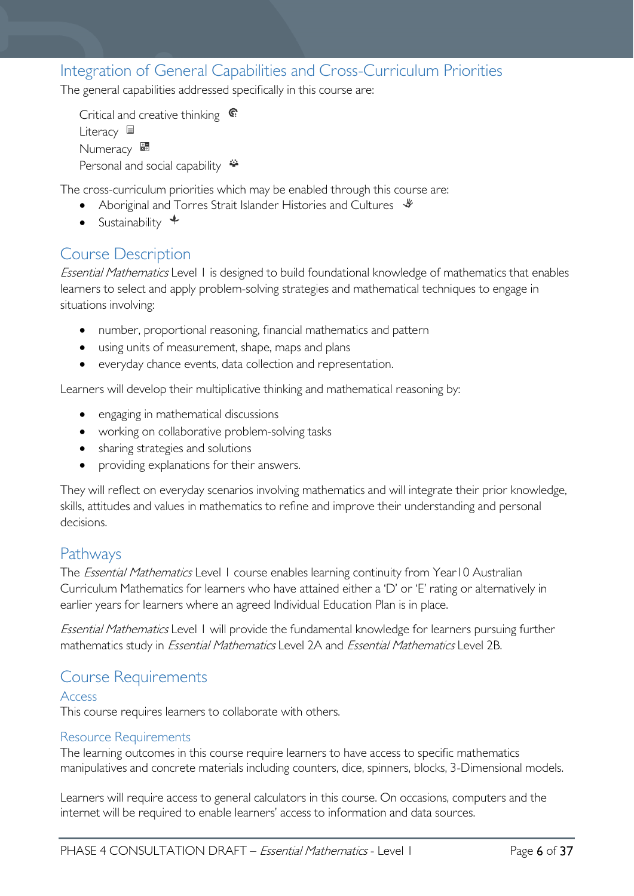## <span id="page-5-0"></span>Integration of General Capabilities and Cross-Curriculum Priorities

The general capabilities addressed specifically in this course are:

Critical and creative thinking  $\epsilon$ Literacy  $\blacksquare$ Numeracy **显** Personal and social capability

The cross-curriculum priorities which may be enabled through this course are:

- Aboriginal and Torres Strait Islander Histories and Cultures  $\mathcal$
- Sustainability  $\triangleleft$

## <span id="page-5-1"></span>Course Description

Essential Mathematics Level 1 is designed to build foundational knowledge of mathematics that enables learners to select and apply problem-solving strategies and mathematical techniques to engage in situations involving:

- number, proportional reasoning, financial mathematics and pattern
- using units of measurement, shape, maps and plans
- everyday chance events, data collection and representation.

Learners will develop their multiplicative thinking and mathematical reasoning by:

- engaging in mathematical discussions
- working on collaborative problem-solving tasks
- sharing strategies and solutions
- providing explanations for their answers.

They will reflect on everyday scenarios involving mathematics and will integrate their prior knowledge, skills, attitudes and values in mathematics to refine and improve their understanding and personal decisions.

### <span id="page-5-2"></span>Pathways

The *Essential Mathematics* Level 1 course enables learning continuity from Year10 Australian Curriculum Mathematics for learners who have attained either a 'D' or 'E' rating or alternatively in earlier years for learners where an agreed Individual Education Plan is in place.

Essential Mathematics Level 1 will provide the fundamental knowledge for learners pursuing further mathematics study in *Essential Mathematics* Level 2A and *Essential Mathematics* Level 2B.

## <span id="page-5-3"></span>Course Requirements

#### Access

This course requires learners to collaborate with others.

#### Resource Requirements

The learning outcomes in this course require learners to have access to specific mathematics manipulatives and concrete materials including counters, dice, spinners, blocks, 3-Dimensional models.

Learners will require access to general calculators in this course. On occasions, computers and the internet will be required to enable learners' access to information and data sources.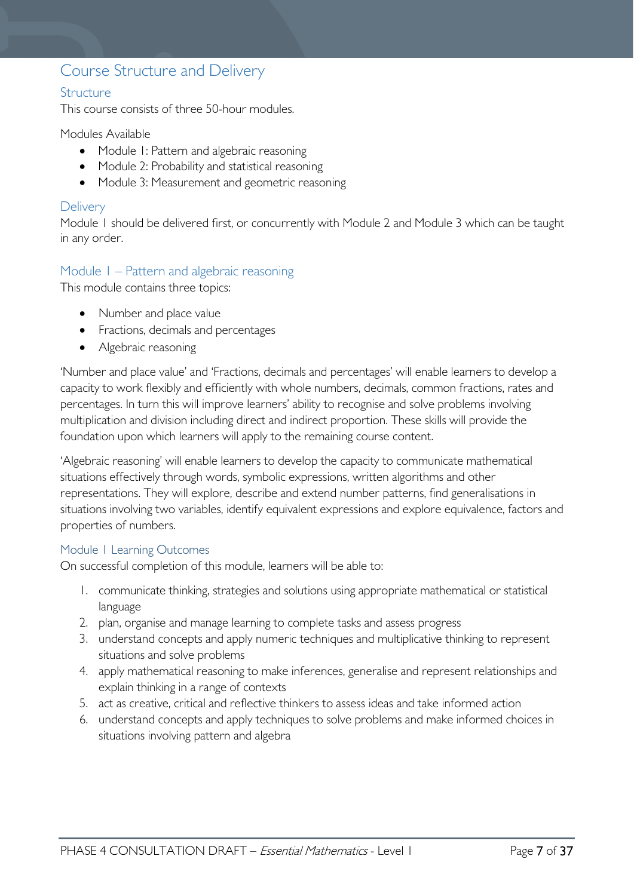## <span id="page-6-0"></span>Course Structure and Delivery

#### <span id="page-6-1"></span>**Structure**

This course consists of three 50-hour modules.

Modules Available

- Module 1: Pattern and algebraic reasoning
- Module 2: Probability and statistical reasoning
- Module 3: Measurement and geometric reasoning

#### <span id="page-6-2"></span>**Delivery**

Module 1 should be delivered first, or concurrently with Module 2 and Module 3 which can be taught in any order.

#### <span id="page-6-3"></span>Module 1 – Pattern and algebraic reasoning

This module contains three topics:

- Number and place value
- Fractions, decimals and percentages
- Algebraic reasoning

'Number and place value' and 'Fractions, decimals and percentages' will enable learners to develop a capacity to work flexibly and efficiently with whole numbers, decimals, common fractions, rates and percentages. In turn this will improve learners' ability to recognise and solve problems involving multiplication and division including direct and indirect proportion. These skills will provide the foundation upon which learners will apply to the remaining course content.

'Algebraic reasoning' will enable learners to develop the capacity to communicate mathematical situations effectively through words, symbolic expressions, written algorithms and other representations. They will explore, describe and extend number patterns, find generalisations in situations involving two variables, identify equivalent expressions and explore equivalence, factors and properties of numbers.

#### <span id="page-6-4"></span>Module 1 Learning Outcomes

On successful completion of this module, learners will be able to:

- 1. communicate thinking, strategies and solutions using appropriate mathematical or statistical language
- 2. plan, organise and manage learning to complete tasks and assess progress
- 3. understand concepts and apply numeric techniques and multiplicative thinking to represent situations and solve problems
- 4. apply mathematical reasoning to make inferences, generalise and represent relationships and explain thinking in a range of contexts
- 5. act as creative, critical and reflective thinkers to assess ideas and take informed action
- <span id="page-6-5"></span>6. understand concepts and apply techniques to solve problems and make informed choices in situations involving pattern and algebra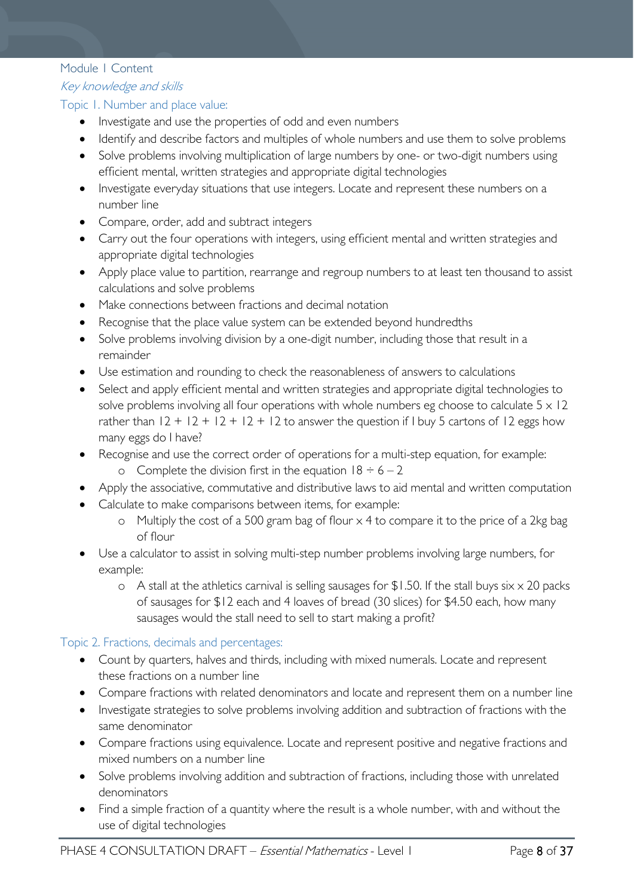#### Module 1 Content

Key knowledge and skills

#### Topic 1. Number and place value:

- Investigate and use the properties of odd and even numbers
- Identify and describe factors and multiples of whole numbers and use them to solve problems
- Solve problems involving multiplication of large numbers by one- or two-digit numbers using efficient mental, written strategies and appropriate digital technologies
- Investigate everyday situations that use integers. Locate and represent these numbers on a number line
- Compare, order, add and subtract integers
- Carry out the four operations with integers, using efficient mental and written strategies and appropriate digital technologies
- Apply place value to partition, rearrange and regroup numbers to at least ten thousand to assist calculations and solve problems
- Make connections between fractions and decimal notation
- Recognise that the place value system can be extended beyond hundredths
- Solve problems involving division by a one-digit number, including those that result in a remainder
- Use estimation and rounding to check the reasonableness of answers to calculations
- Select and apply efficient mental and written strategies and appropriate digital technologies to solve problems involving all four operations with whole numbers eg choose to calculate  $5 \times 12$ rather than  $12 + 12 + 12 + 12 + 12$  to answer the question if I buy 5 cartons of 12 eggs how many eggs do I have?
- Recognise and use the correct order of operations for a multi-step equation, for example:
	- o Complete the division first in the equation  $18 \div 6 2$
- Apply the associative, commutative and distributive laws to aid mental and written computation
- Calculate to make comparisons between items, for example:
	- o Multiply the cost of a 500 gram bag of flour x 4 to compare it to the price of a 2kg bag of flour
- Use a calculator to assist in solving multi-step number problems involving large numbers, for example:
	- $\circ$  A stall at the athletics carnival is selling sausages for \$1.50. If the stall buys six  $\times$  20 packs of sausages for \$12 each and 4 loaves of bread (30 slices) for \$4.50 each, how many sausages would the stall need to sell to start making a profit?

#### Topic 2. Fractions, decimals and percentages:

- Count by quarters, halves and thirds, including with mixed numerals. Locate and represent these fractions on a number line
- Compare fractions with related denominators and locate and represent them on a number line
- Investigate strategies to solve problems involving addition and subtraction of fractions with the same denominator
- Compare fractions using equivalence. Locate and represent positive and negative fractions and mixed numbers on a number line
- Solve problems involving addition and subtraction of fractions, including those with unrelated denominators
- Find a simple fraction of a quantity where the result is a whole number, with and without the use of digital technologies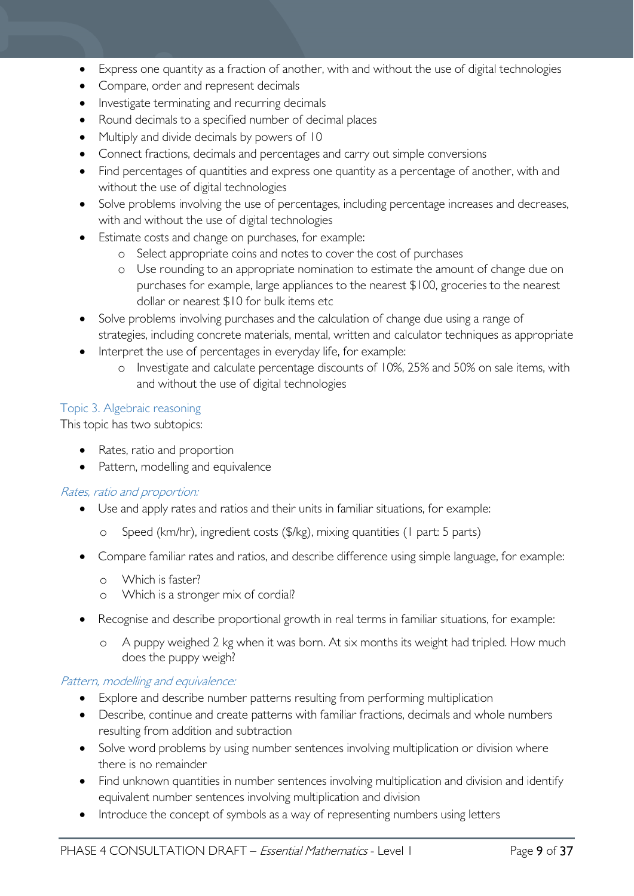- Express one quantity as a fraction of another, with and without the use of digital technologies
- Compare, order and represent decimals
- Investigate terminating and recurring decimals
- Round decimals to a specified number of decimal places
- Multiply and divide decimals by powers of 10
- Connect fractions, decimals and percentages and carry out simple conversions
- Find percentages of quantities and express one quantity as a percentage of another, with and without the use of digital technologies
- Solve problems involving the use of percentages, including percentage increases and decreases, with and without the use of digital technologies
- Estimate costs and change on purchases, for example:
	- o Select appropriate coins and notes to cover the cost of purchases
	- o Use rounding to an appropriate nomination to estimate the amount of change due on purchases for example, large appliances to the nearest \$100, groceries to the nearest dollar or nearest \$10 for bulk items etc
- Solve problems involving purchases and the calculation of change due using a range of strategies, including concrete materials, mental, written and calculator techniques as appropriate
- Interpret the use of percentages in everyday life, for example:
	- o Investigate and calculate percentage discounts of 10%, 25% and 50% on sale items, with and without the use of digital technologies

#### Topic 3. Algebraic reasoning

This topic has two subtopics:

- Rates, ratio and proportion
- Pattern, modelling and equivalence

#### Rates, ratio and proportion:

- Use and apply rates and ratios and their units in familiar situations, for example:
	- o Speed (km/hr), ingredient costs (\$/kg), mixing quantities (1 part: 5 parts)
- Compare familiar rates and ratios, and describe difference using simple language, for example:
	- o Which is faster?
	- Which is a stronger mix of cordial?
- Recognise and describe proportional growth in real terms in familiar situations, for example:
	- o A puppy weighed 2 kg when it was born. At six months its weight had tripled. How much does the puppy weigh?

#### Pattern, modelling and equivalence:

- Explore and describe number patterns resulting from performing multiplication
- Describe, continue and create patterns with familiar fractions, decimals and whole numbers resulting from addition and subtraction
- Solve word problems by using number sentences involving multiplication or division where there is no remainder
- Find unknown quantities in number sentences involving multiplication and division and identify equivalent number sentences involving multiplication and division
- Introduce the concept of symbols as a way of representing numbers using letters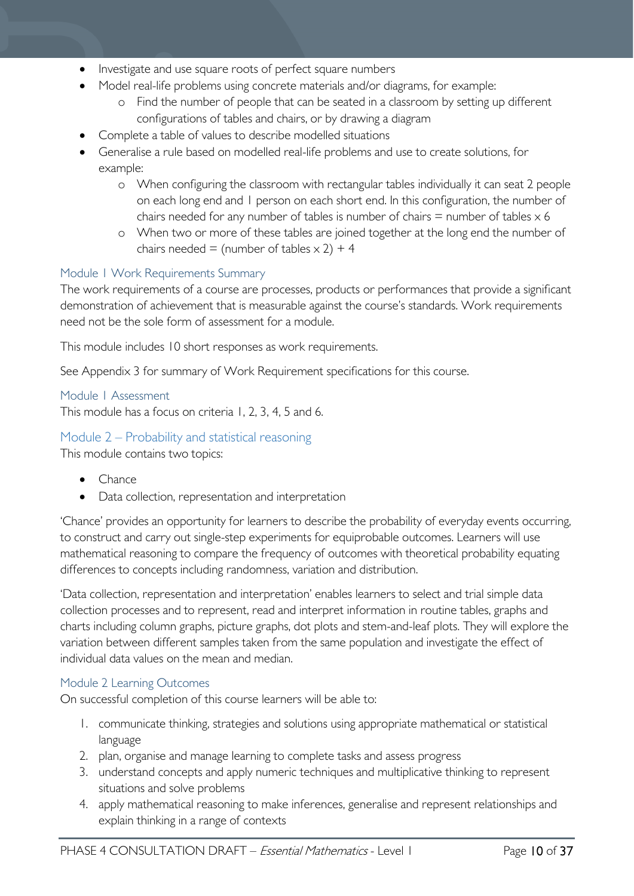- Investigate and use square roots of perfect square numbers
- Model real-life problems using concrete materials and/or diagrams, for example:
	- o Find the number of people that can be seated in a classroom by setting up different configurations of tables and chairs, or by drawing a diagram
- Complete a table of values to describe modelled situations
- Generalise a rule based on modelled real-life problems and use to create solutions, for example:
	- o When configuring the classroom with rectangular tables individually it can seat 2 people on each long end and 1 person on each short end. In this configuration, the number of chairs needed for any number of tables is number of chairs  $=$  number of tables  $\times$  6
	- o When two or more of these tables are joined together at the long end the number of chairs needed = (number of tables  $\times$  2) + 4

#### <span id="page-9-0"></span>Module 1 Work Requirements Summary

The work requirements of a course are processes, products or performances that provide a significant demonstration of achievement that is measurable against the course's standards. Work requirements need not be the sole form of assessment for a module.

This module includes 10 short responses as work requirements.

See Appendix 3 for summary of Work Requirement specifications for this course.

#### <span id="page-9-1"></span>Module 1 Assessment

This module has a focus on criteria 1, 2, 3, 4, 5 and 6.

<span id="page-9-2"></span>Module 2 – Probability and statistical reasoning This module contains two topics:

- Chance
- Data collection, representation and interpretation

'Chance' provides an opportunity for learners to describe the probability of everyday events occurring, to construct and carry out single-step experiments for equiprobable outcomes. Learners will use mathematical reasoning to compare the frequency of outcomes with theoretical probability equating differences to concepts including randomness, variation and distribution.

'Data collection, representation and interpretation' enables learners to select and trial simple data collection processes and to represent, read and interpret information in routine tables, graphs and charts including column graphs, picture graphs, dot plots and stem-and-leaf plots. They will explore the variation between different samples taken from the same population and investigate the effect of individual data values on the mean and median.

#### <span id="page-9-3"></span>Module 2 Learning Outcomes

On successful completion of this course learners will be able to:

- 1. communicate thinking, strategies and solutions using appropriate mathematical or statistical language
- 2. plan, organise and manage learning to complete tasks and assess progress
- 3. understand concepts and apply numeric techniques and multiplicative thinking to represent situations and solve problems
- 4. apply mathematical reasoning to make inferences, generalise and represent relationships and explain thinking in a range of contexts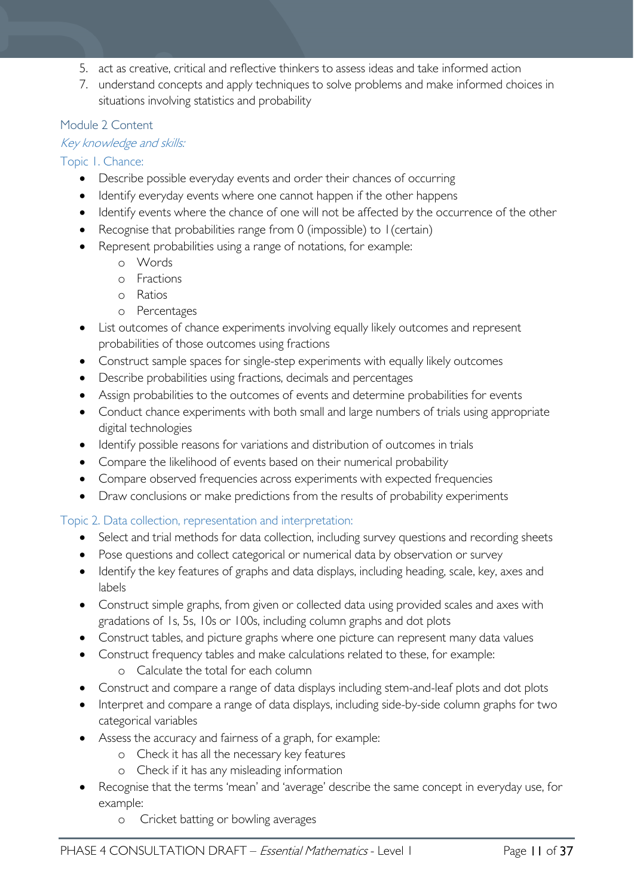- 5. act as creative, critical and reflective thinkers to assess ideas and take informed action
- 7. understand concepts and apply techniques to solve problems and make informed choices in situations involving statistics and probability

#### <span id="page-10-0"></span>Module 2 Content

#### Key knowledge and skills:

Topic 1. Chance:

- Describe possible everyday events and order their chances of occurring
- Identify everyday events where one cannot happen if the other happens
- Identify events where the chance of one will not be affected by the occurrence of the other
- Recognise that probabilities range from 0 (impossible) to 1 (certain)
- Represent probabilities using a range of notations, for example:
	- o Words
	- o Fractions
	- o Ratios
	- o Percentages
- List outcomes of chance experiments involving equally likely outcomes and represent probabilities of those outcomes using fractions
- Construct sample spaces for single-step experiments with equally likely outcomes
- Describe probabilities using fractions, decimals and percentages
- Assign probabilities to the outcomes of events and determine probabilities for events
- Conduct chance experiments with both small and large numbers of trials using appropriate digital technologies
- Identify possible reasons for variations and distribution of outcomes in trials
- Compare the likelihood of events based on their numerical probability
- Compare observed frequencies across experiments with expected frequencies
- Draw conclusions or make predictions from the results of probability experiments

#### Topic 2. Data collection, representation and interpretation:

- Select and trial methods for data collection, including survey questions and recording sheets
- Pose questions and collect categorical or numerical data by observation or survey
- Identify the key features of graphs and data displays, including heading, scale, key, axes and labels
- Construct simple graphs, from given or collected data using provided scales and axes with gradations of 1s, 5s, 10s or 100s, including column graphs and dot plots
- Construct tables, and picture graphs where one picture can represent many data values
- Construct frequency tables and make calculations related to these, for example: o Calculate the total for each column
- Construct and compare a range of data displays including stem-and-leaf plots and dot plots
- Interpret and compare a range of data displays, including side-by-side column graphs for two categorical variables
- Assess the accuracy and fairness of a graph, for example:
	- o Check it has all the necessary key features
	- o Check if it has any misleading information
- Recognise that the terms 'mean' and 'average' describe the same concept in everyday use, for example:
	- o Cricket batting or bowling averages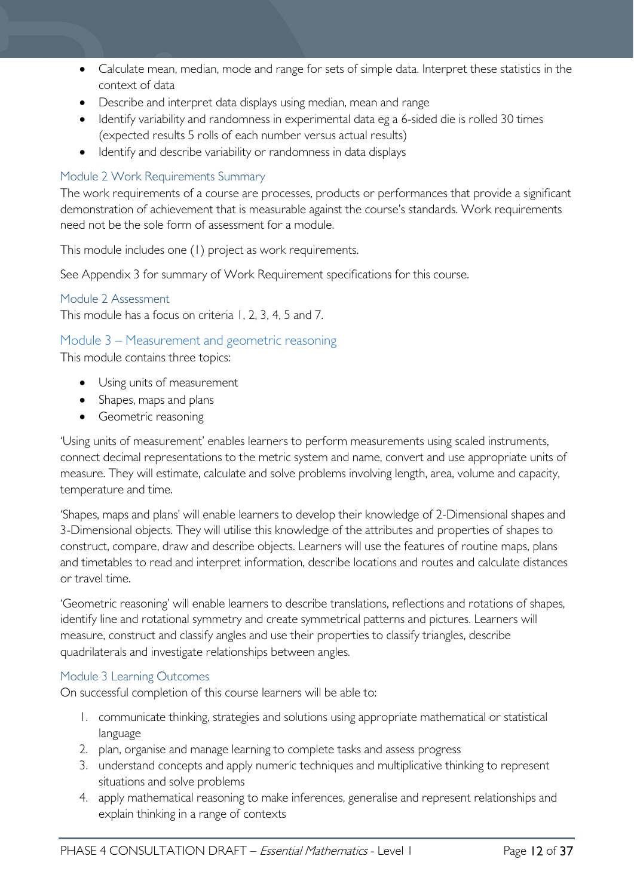- Calculate mean, median, mode and range for sets of simple data. Interpret these statistics in the context of data
- Describe and interpret data displays using median, mean and range
- Identify variability and randomness in experimental data eg a 6-sided die is rolled 30 times (expected results 5 rolls of each number versus actual results)
- Identify and describe variability or randomness in data displays

#### <span id="page-11-0"></span>Module 2 Work Requirements Summary

The work requirements of a course are processes, products or performances that provide a significant demonstration of achievement that is measurable against the course's standards. Work requirements need not be the sole form of assessment for a module.

This module includes one (1) project as work requirements.

See Appendix 3 for summary of Work Requirement specifications for this course.

#### <span id="page-11-1"></span>Module 2 Assessment

This module has a focus on criteria 1, 2, 3, 4, 5 and 7.

#### <span id="page-11-2"></span>Module 3 – Measurement and geometric reasoning

This module contains three topics:

- Using units of measurement
- Shapes, maps and plans
- Geometric reasoning

'Using units of measurement' enables learners to perform measurements using scaled instruments, connect decimal representations to the metric system and name, convert and use appropriate units of measure. They will estimate, calculate and solve problems involving length, area, volume and capacity, temperature and time.

'Shapes, maps and plans' will enable learners to develop their knowledge of 2-Dimensional shapes and 3-Dimensional objects. They will utilise this knowledge of the attributes and properties of shapes to construct, compare, draw and describe objects. Learners will use the features of routine maps, plans and timetables to read and interpret information, describe locations and routes and calculate distances or travel time.

'Geometric reasoning' will enable learners to describe translations, reflections and rotations of shapes, identify line and rotational symmetry and create symmetrical patterns and pictures. Learners will measure, construct and classify angles and use their properties to classify triangles, describe quadrilaterals and investigate relationships between angles.

#### <span id="page-11-3"></span>Module 3 Learning Outcomes

On successful completion of this course learners will be able to:

- 1. communicate thinking, strategies and solutions using appropriate mathematical or statistical language
- 2. plan, organise and manage learning to complete tasks and assess progress
- 3. understand concepts and apply numeric techniques and multiplicative thinking to represent situations and solve problems
- 4. apply mathematical reasoning to make inferences, generalise and represent relationships and explain thinking in a range of contexts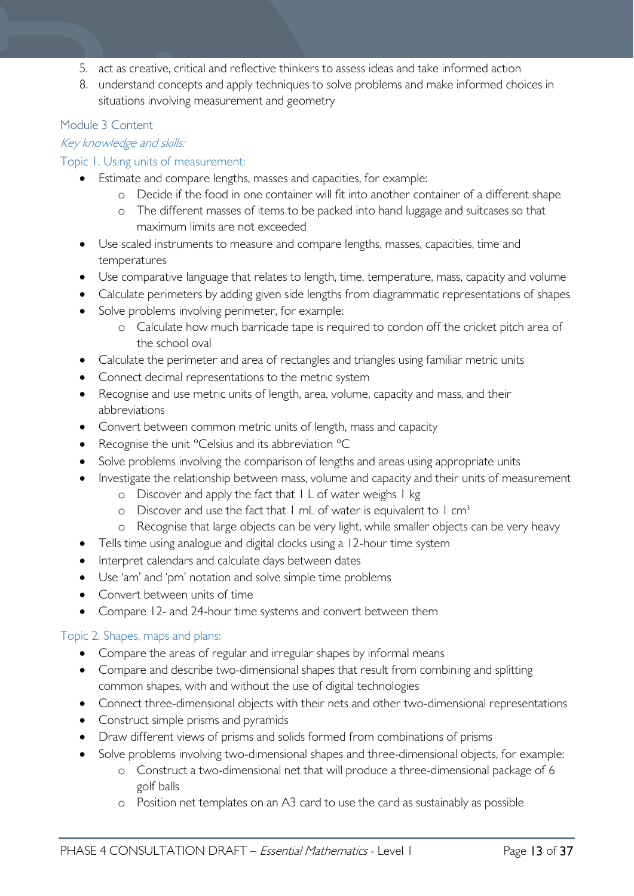- 5. act as creative, critical and reflective thinkers to assess ideas and take informed action
- 8. understand concepts and apply techniques to solve problems and make informed choices in situations involving measurement and geometry

#### <span id="page-12-0"></span>Module 3 Content

#### Key knowledge and skills:

#### Topic 1. Using units of measurement:

- Estimate and compare lengths, masses and capacities, for example:
	- o Decide if the food in one container will fit into another container of a different shape
	- o The different masses of items to be packed into hand luggage and suitcases so that maximum limits are not exceeded
- Use scaled instruments to measure and compare lengths, masses, capacities, time and temperatures
- Use comparative language that relates to length, time, temperature, mass, capacity and volume
- Calculate perimeters by adding given side lengths from diagrammatic representations of shapes
- Solve problems involving perimeter, for example:
	- o Calculate how much barricade tape is required to cordon off the cricket pitch area of the school oval
- Calculate the perimeter and area of rectangles and triangles using familiar metric units
- Connect decimal representations to the metric system
- Recognise and use metric units of length, area, volume, capacity and mass, and their abbreviations
- Convert between common metric units of length, mass and capacity
- Recognise the unit °Celsius and its abbreviation °C
- Solve problems involving the comparison of lengths and areas using appropriate units
- Investigate the relationship between mass, volume and capacity and their units of measurement
	- o Discover and apply the fact that 1 L of water weighs 1 kg
	- o Discover and use the fact that  $| \text{ mL of water} |$  equivalent to  $| \text{ cm}^3$
	- o Recognise that large objects can be very light, while smaller objects can be very heavy
- Tells time using analogue and digital clocks using a 12-hour time system
- Interpret calendars and calculate days between dates
- Use 'am' and 'pm' notation and solve simple time problems
- Convert between units of time
- Compare 12- and 24-hour time systems and convert between them

#### Topic 2. Shapes, maps and plans:

- Compare the areas of regular and irregular shapes by informal means
- Compare and describe two-dimensional shapes that result from combining and splitting common shapes, with and without the use of digital technologies
- Connect three-dimensional objects with their nets and other two-dimensional representations
- Construct simple prisms and pyramids
- Draw different views of prisms and solids formed from combinations of prisms
- Solve problems involving two-dimensional shapes and three-dimensional objects, for example:
	- o Construct a two-dimensional net that will produce a three-dimensional package of 6 golf balls
	- o Position net templates on an A3 card to use the card as sustainably as possible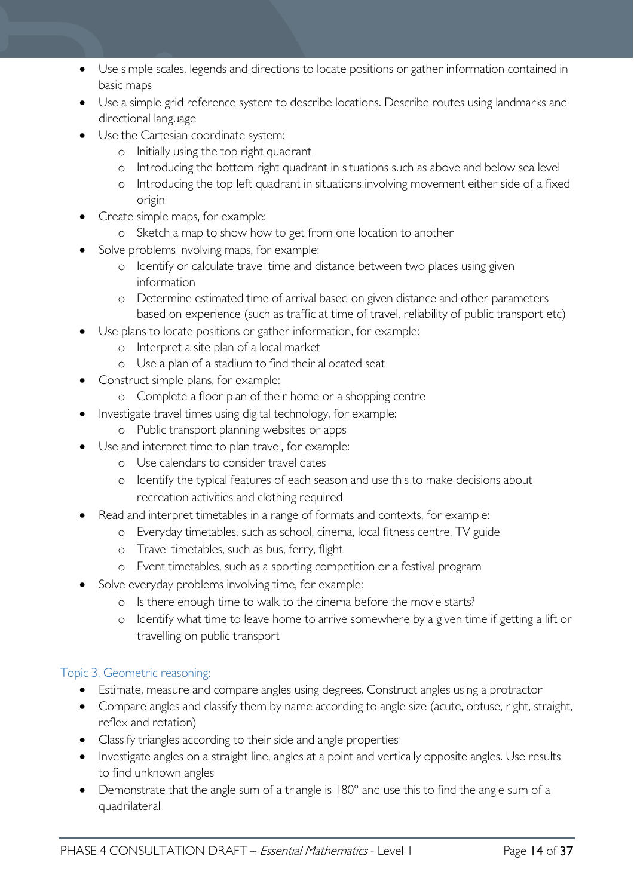- Use simple scales, legends and directions to locate positions or gather information contained in basic maps
- Use a simple grid reference system to describe locations. Describe routes using landmarks and directional language
- Use the Cartesian coordinate system:
	- o Initially using the top right quadrant
	- o Introducing the bottom right quadrant in situations such as above and below sea level
	- o Introducing the top left quadrant in situations involving movement either side of a fixed origin
- Create simple maps, for example:
	- o Sketch a map to show how to get from one location to another
- Solve problems involving maps, for example:
	- o Identify or calculate travel time and distance between two places using given information
	- o Determine estimated time of arrival based on given distance and other parameters based on experience (such as traffic at time of travel, reliability of public transport etc)
- Use plans to locate positions or gather information, for example:
	- o Interpret a site plan of a local market
	- o Use a plan of a stadium to find their allocated seat
- Construct simple plans, for example:
	- o Complete a floor plan of their home or a shopping centre
- Investigate travel times using digital technology, for example:
	- o Public transport planning websites or apps
- Use and interpret time to plan travel, for example:
	- o Use calendars to consider travel dates
	- o Identify the typical features of each season and use this to make decisions about recreation activities and clothing required
- Read and interpret timetables in a range of formats and contexts, for example:
	- o Everyday timetables, such as school, cinema, local fitness centre, TV guide
	- o Travel timetables, such as bus, ferry, flight
	- o Event timetables, such as a sporting competition or a festival program
- Solve everyday problems involving time, for example:
	- o Is there enough time to walk to the cinema before the movie starts?
	- o Identify what time to leave home to arrive somewhere by a given time if getting a lift or travelling on public transport

#### Topic 3. Geometric reasoning:

- Estimate, measure and compare angles using degrees. Construct angles using a protractor
- Compare angles and classify them by name according to angle size (acute, obtuse, right, straight, reflex and rotation)
- Classify triangles according to their side and angle properties
- Investigate angles on a straight line, angles at a point and vertically opposite angles. Use results to find unknown angles
- Demonstrate that the angle sum of a triangle is 180° and use this to find the angle sum of a quadrilateral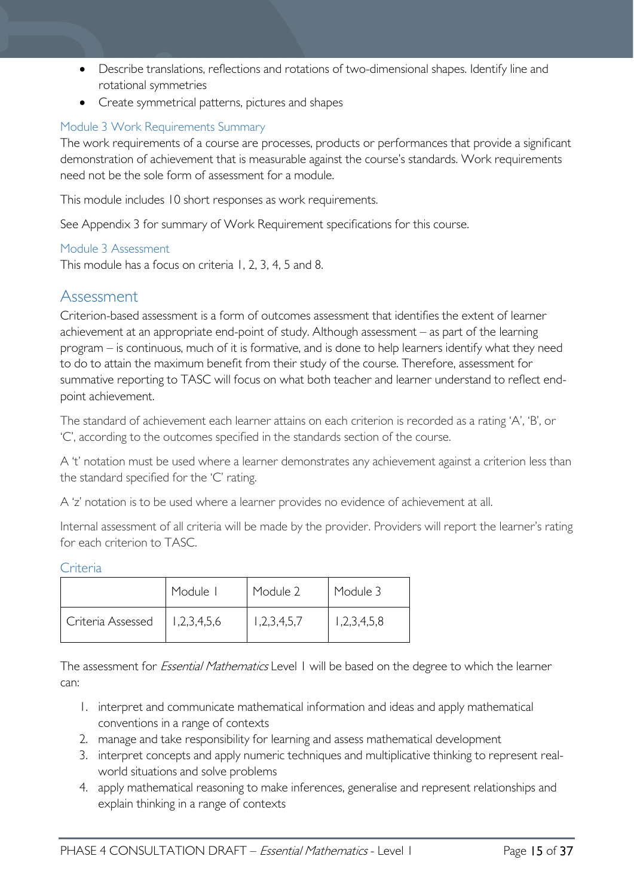- Describe translations, reflections and rotations of two-dimensional shapes. Identify line and rotational symmetries
- Create symmetrical patterns, pictures and shapes

#### <span id="page-14-0"></span>Module 3 Work Requirements Summary

The work requirements of a course are processes, products or performances that provide a significant demonstration of achievement that is measurable against the course's standards. Work requirements need not be the sole form of assessment for a module.

This module includes 10 short responses as work requirements.

See Appendix 3 for summary of Work Requirement specifications for this course.

#### <span id="page-14-1"></span>Module 3 Assessment

This module has a focus on criteria 1, 2, 3, 4, 5 and 8.

#### <span id="page-14-2"></span>Assessment

Criterion-based assessment is a form of outcomes assessment that identifies the extent of learner achievement at an appropriate end-point of study. Although assessment – as part of the learning program – is continuous, much of it is formative, and is done to help learners identify what they need to do to attain the maximum benefit from their study of the course. Therefore, assessment for summative reporting to TASC will focus on what both teacher and learner understand to reflect endpoint achievement.

The standard of achievement each learner attains on each criterion is recorded as a rating 'A', 'B', or 'C', according to the outcomes specified in the standards section of the course.

A 't' notation must be used where a learner demonstrates any achievement against a criterion less than the standard specified for the 'C' rating.

A 'z' notation is to be used where a learner provides no evidence of achievement at all.

Internal assessment of all criteria will be made by the provider. Providers will report the learner's rating for each criterion to TASC.

#### <span id="page-14-3"></span>Criteria

|                   | Module I    | Module 2    | Module 3    |
|-------------------|-------------|-------------|-------------|
| Criteria Assessed | 1,2,3,4,5,6 | 1,2,3,4,5,7 | 1,2,3,4,5,8 |

The assessment for *Essential Mathematics* Level 1 will be based on the degree to which the learner can:

- 1. interpret and communicate mathematical information and ideas and apply mathematical conventions in a range of contexts
- 2. manage and take responsibility for learning and assess mathematical development
- 3. interpret concepts and apply numeric techniques and multiplicative thinking to represent realworld situations and solve problems
- 4. apply mathematical reasoning to make inferences, generalise and represent relationships and explain thinking in a range of contexts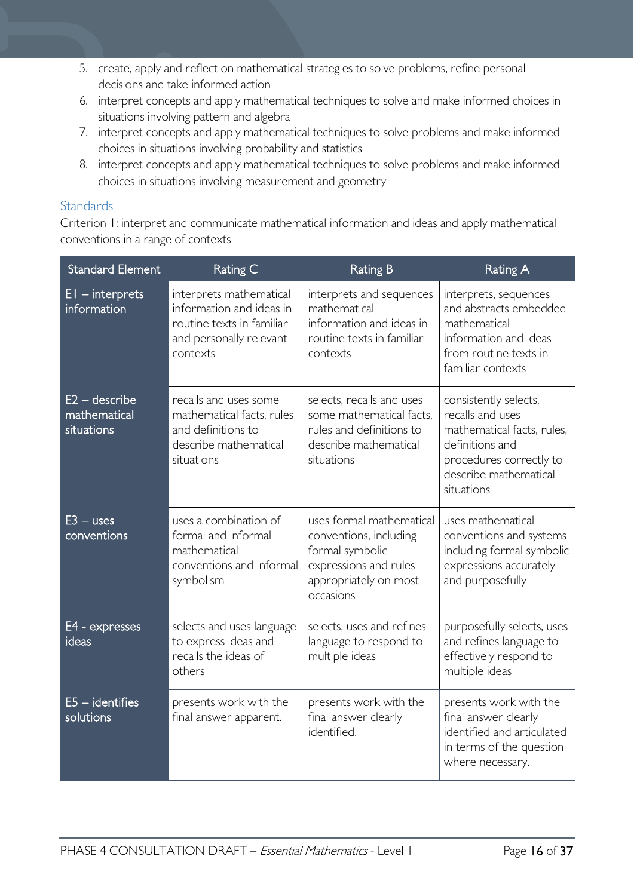- 5. create, apply and reflect on mathematical strategies to solve problems, refine personal decisions and take informed action
- 6. interpret concepts and apply mathematical techniques to solve and make informed choices in situations involving pattern and algebra
- 7. interpret concepts and apply mathematical techniques to solve problems and make informed choices in situations involving probability and statistics
- 8. interpret concepts and apply mathematical techniques to solve problems and make informed choices in situations involving measurement and geometry

#### <span id="page-15-0"></span>**Standards**

Criterion 1: interpret and communicate mathematical information and ideas and apply mathematical conventions in a range of contexts

| <b>Standard Element</b>                       | Rating C                                                                                                                | <b>Rating B</b>                                                                                                                      | <b>Rating A</b>                                                                                                                                              |
|-----------------------------------------------|-------------------------------------------------------------------------------------------------------------------------|--------------------------------------------------------------------------------------------------------------------------------------|--------------------------------------------------------------------------------------------------------------------------------------------------------------|
| $EI -$ interprets<br>information              | interprets mathematical<br>information and ideas in<br>routine texts in familiar<br>and personally relevant<br>contexts | interprets and sequences<br>mathematical<br>information and ideas in<br>routine texts in familiar<br>contexts                        | interprets, sequences<br>and abstracts embedded<br>mathematical<br>information and ideas<br>from routine texts in<br>familiar contexts                       |
| $E2 -$ describe<br>mathematical<br>situations | recalls and uses some<br>mathematical facts, rules<br>and definitions to<br>describe mathematical<br>situations         | selects, recalls and uses<br>some mathematical facts,<br>rules and definitions to<br>describe mathematical<br>situations             | consistently selects,<br>recalls and uses<br>mathematical facts, rules,<br>definitions and<br>procedures correctly to<br>describe mathematical<br>situations |
| $E3 - uses$<br>conventions                    | uses a combination of<br>formal and informal<br>mathematical<br>conventions and informal<br>symbolism                   | uses formal mathematical<br>conventions, including<br>formal symbolic<br>expressions and rules<br>appropriately on most<br>occasions | uses mathematical<br>conventions and systems<br>including formal symbolic<br>expressions accurately<br>and purposefully                                      |
| E4 - expresses<br>ideas                       | selects and uses language<br>to express ideas and<br>recalls the ideas of<br>others                                     | selects, uses and refines<br>language to respond to<br>multiple ideas                                                                | purposefully selects, uses<br>and refines language to<br>effectively respond to<br>multiple ideas                                                            |
| $E5 - identifies$<br>solutions                | presents work with the<br>final answer apparent.                                                                        | presents work with the<br>final answer clearly<br>identified.                                                                        | presents work with the<br>final answer clearly<br>identified and articulated<br>in terms of the question<br>where necessary.                                 |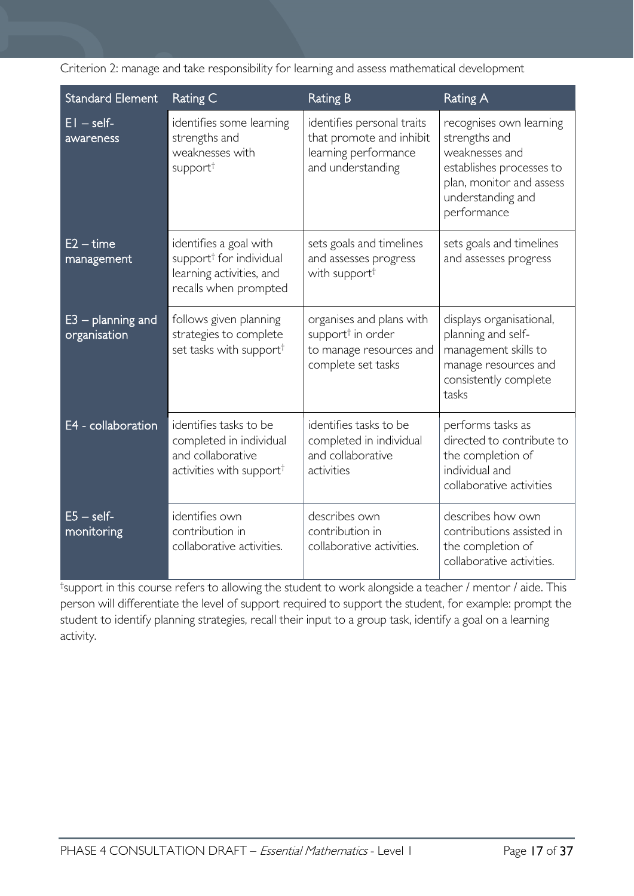Criterion 2: manage and take responsibility for learning and assess mathematical development

| Standard Element                    | Rating C                                                                                                           | <b>Rating B</b>                                                                                            | <b>Rating A</b>                                                                                                                                        |
|-------------------------------------|--------------------------------------------------------------------------------------------------------------------|------------------------------------------------------------------------------------------------------------|--------------------------------------------------------------------------------------------------------------------------------------------------------|
| $EI - self$<br>awareness            | identifies some learning<br>strengths and<br>weaknesses with<br>support <sup>†</sup>                               | identifies personal traits<br>that promote and inhibit<br>learning performance<br>and understanding        | recognises own learning<br>strengths and<br>weaknesses and<br>establishes processes to<br>plan, monitor and assess<br>understanding and<br>performance |
| $E2 - time$<br>management           | identifies a goal with<br>support <sup>†</sup> for individual<br>learning activities, and<br>recalls when prompted | sets goals and timelines<br>and assesses progress<br>with support <sup>†</sup>                             | sets goals and timelines<br>and assesses progress                                                                                                      |
| $E3$ – planning and<br>organisation | follows given planning<br>strategies to complete<br>set tasks with support <sup>†</sup>                            | organises and plans with<br>support <sup>†</sup> in order<br>to manage resources and<br>complete set tasks | displays organisational,<br>planning and self-<br>management skills to<br>manage resources and<br>consistently complete<br>tasks                       |
| E4 - collaboration                  | identifies tasks to be<br>completed in individual<br>and collaborative<br>activities with support <sup>†</sup>     | identifies tasks to be<br>completed in individual<br>and collaborative<br>activities                       | performs tasks as<br>directed to contribute to<br>the completion of<br>individual and<br>collaborative activities                                      |
| $E5 - self$<br>monitoring           | identifies own<br>contribution in<br>collaborative activities.                                                     | describes own<br>contribution in<br>collaborative activities.                                              | describes how own<br>contributions assisted in<br>the completion of<br>collaborative activities.                                                       |

† support in this course refers to allowing the student to work alongside a teacher / mentor / aide. This person will differentiate the level of support required to support the student, for example: prompt the student to identify planning strategies, recall their input to a group task, identify a goal on a learning activity.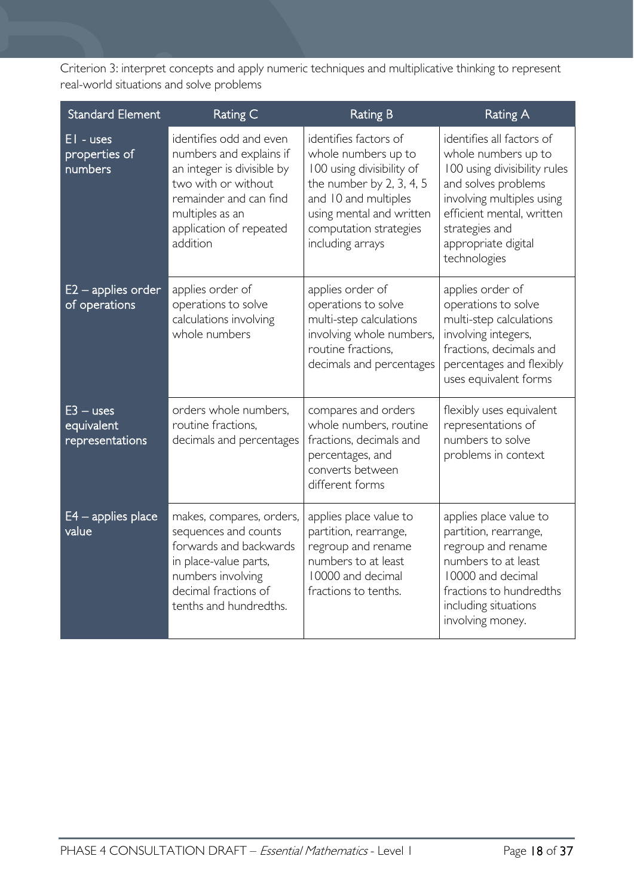Criterion 3: interpret concepts and apply numeric techniques and multiplicative thinking to represent real-world situations and solve problems

| <b>Standard Element</b>                      | Rating C                                                                                                                                                                                    | Rating B                                                                                                                                                                                                  | <b>Rating A</b>                                                                                                                                                                                                            |
|----------------------------------------------|---------------------------------------------------------------------------------------------------------------------------------------------------------------------------------------------|-----------------------------------------------------------------------------------------------------------------------------------------------------------------------------------------------------------|----------------------------------------------------------------------------------------------------------------------------------------------------------------------------------------------------------------------------|
| $EI - uses$<br>properties of<br>numbers      | identifies odd and even<br>numbers and explains if<br>an integer is divisible by<br>two with or without<br>remainder and can find<br>multiples as an<br>application of repeated<br>addition | identifies factors of<br>whole numbers up to<br>100 using divisibility of<br>the number by $2, 3, 4, 5$<br>and 10 and multiples<br>using mental and written<br>computation strategies<br>including arrays | identifies all factors of<br>whole numbers up to<br>100 using divisibility rules<br>and solves problems<br>involving multiples using<br>efficient mental, written<br>strategies and<br>appropriate digital<br>technologies |
| $E2$ – applies order<br>of operations        | applies order of<br>operations to solve<br>calculations involving<br>whole numbers                                                                                                          | applies order of<br>operations to solve<br>multi-step calculations<br>involving whole numbers,<br>routine fractions.<br>decimals and percentages                                                          | applies order of<br>operations to solve<br>multi-step calculations<br>involving integers,<br>fractions, decimals and<br>percentages and flexibly<br>uses equivalent forms                                                  |
| $E3 - uses$<br>equivalent<br>representations | orders whole numbers,<br>routine fractions,<br>decimals and percentages                                                                                                                     | compares and orders<br>whole numbers, routine<br>fractions, decimals and<br>percentages, and<br>converts between<br>different forms                                                                       | flexibly uses equivalent<br>representations of<br>numbers to solve<br>problems in context                                                                                                                                  |
| $E4$ – applies place<br>value                | makes, compares, orders,<br>sequences and counts<br>forwards and backwards<br>in place-value parts,<br>numbers involving<br>decimal fractions of<br>tenths and hundredths.                  | applies place value to<br>partition, rearrange,<br>regroup and rename<br>numbers to at least<br>10000 and decimal<br>fractions to tenths.                                                                 | applies place value to<br>partition, rearrange,<br>regroup and rename<br>numbers to at least<br>10000 and decimal<br>fractions to hundredths<br>including situations<br>involving money.                                   |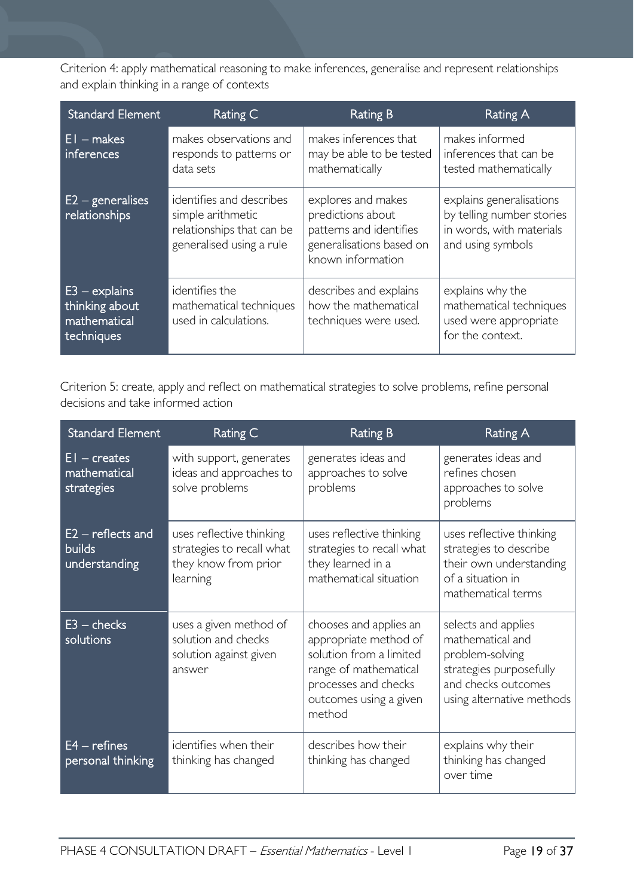Criterion 4: apply mathematical reasoning to make inferences, generalise and represent relationships and explain thinking in a range of contexts

| <b>Standard Element</b>                                         | Rating C                                                                                               | <b>Rating B</b>                                                                                                     | Rating A                                                                                               |
|-----------------------------------------------------------------|--------------------------------------------------------------------------------------------------------|---------------------------------------------------------------------------------------------------------------------|--------------------------------------------------------------------------------------------------------|
| $E1 - makes$<br>inferences                                      | makes observations and<br>responds to patterns or<br>data sets                                         | makes inferences that<br>may be able to be tested<br>mathematically                                                 | makes informed<br>inferences that can be<br>tested mathematically                                      |
| $E2 -$ generalises<br>relationships                             | identifies and describes<br>simple arithmetic<br>relationships that can be<br>generalised using a rule | explores and makes<br>predictions about<br>patterns and identifies<br>generalisations based on<br>known information | explains generalisations<br>by telling number stories<br>in words, with materials<br>and using symbols |
| $E3 - explains$<br>thinking about<br>mathematical<br>techniques | identifies the<br>mathematical techniques<br>used in calculations.                                     | describes and explains<br>how the mathematical<br>techniques were used.                                             | explains why the<br>mathematical techniques<br>used were appropriate<br>for the context.               |

Criterion 5: create, apply and reflect on mathematical strategies to solve problems, refine personal decisions and take informed action

| <b>Standard Element</b>                               | Rating C                                                                                  | <b>Rating B</b>                                                                                                                                                 | <b>Rating A</b>                                                                                                                           |
|-------------------------------------------------------|-------------------------------------------------------------------------------------------|-----------------------------------------------------------------------------------------------------------------------------------------------------------------|-------------------------------------------------------------------------------------------------------------------------------------------|
| $EI - creates$<br>mathematical<br>strategies          | with support, generates<br>ideas and approaches to<br>solve problems                      | generates ideas and<br>approaches to solve<br>problems                                                                                                          | generates ideas and<br>refines chosen<br>approaches to solve<br>problems                                                                  |
| $E2$ – reflects and<br><b>builds</b><br>understanding | uses reflective thinking<br>strategies to recall what<br>they know from prior<br>learning | uses reflective thinking<br>strategies to recall what<br>they learned in a<br>mathematical situation                                                            | uses reflective thinking<br>strategies to describe<br>their own understanding<br>of a situation in<br>mathematical terms                  |
| $E3$ – checks<br>solutions                            | uses a given method of<br>solution and checks<br>solution against given<br>answer         | chooses and applies an<br>appropriate method of<br>solution from a limited<br>range of mathematical<br>processes and checks<br>outcomes using a given<br>method | selects and applies<br>mathematical and<br>problem-solving<br>strategies purposefully<br>and checks outcomes<br>using alternative methods |
| $E4$ – refines<br>personal thinking                   | identifies when their<br>thinking has changed                                             | describes how their<br>thinking has changed                                                                                                                     | explains why their<br>thinking has changed<br>over time                                                                                   |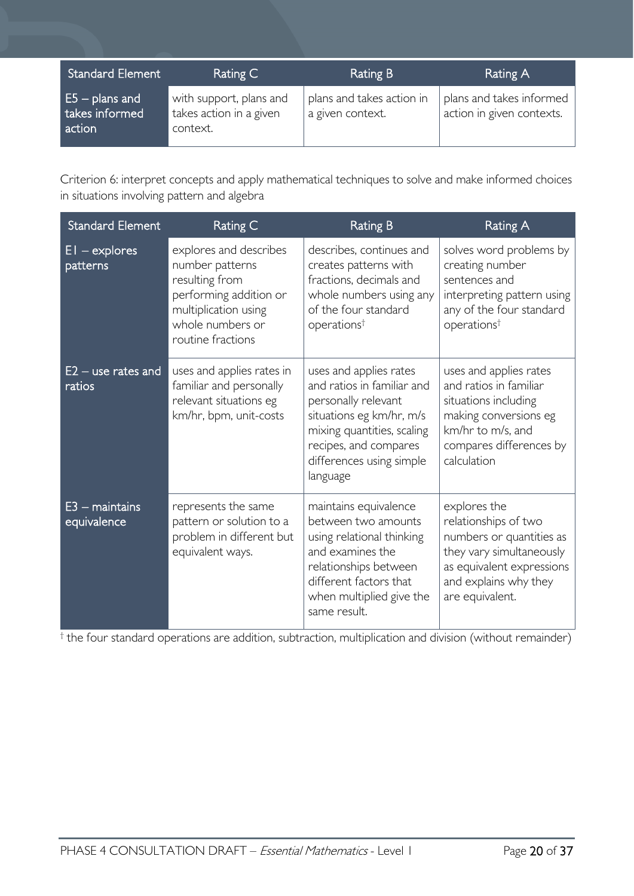| <b>Standard Element</b>                      | Rating C                                                       | Rating B                                      | <b>Rating A</b>                                       |
|----------------------------------------------|----------------------------------------------------------------|-----------------------------------------------|-------------------------------------------------------|
| $E5 -$ plans and<br>takes informed<br>action | with support, plans and<br>takes action in a given<br>context. | plans and takes action in<br>a given context. | plans and takes informed<br>action in given contexts. |

Criterion 6: interpret concepts and apply mathematical techniques to solve and make informed choices in situations involving pattern and algebra

| Standard Element               | Rating C                                                                                                                                               | <b>Rating B</b>                                                                                                                                                                                        | Rating A                                                                                                                                                              |
|--------------------------------|--------------------------------------------------------------------------------------------------------------------------------------------------------|--------------------------------------------------------------------------------------------------------------------------------------------------------------------------------------------------------|-----------------------------------------------------------------------------------------------------------------------------------------------------------------------|
| $EI - explores$<br>patterns    | explores and describes<br>number patterns<br>resulting from<br>performing addition or<br>multiplication using<br>whole numbers or<br>routine fractions | describes, continues and<br>creates patterns with<br>fractions, decimals and<br>whole numbers using any<br>of the four standard<br>operations <sup>†</sup>                                             | solves word problems by<br>creating number<br>sentences and<br>interpreting pattern using<br>any of the four standard<br>operations <sup>†</sup>                      |
| $E2 -$ use rates and<br>ratios | uses and applies rates in<br>familiar and personally<br>relevant situations eg<br>km/hr, bpm, unit-costs                                               | uses and applies rates<br>and ratios in familiar and<br>personally relevant<br>situations eg km/hr, m/s<br>mixing quantities, scaling<br>recipes, and compares<br>differences using simple<br>language | uses and applies rates<br>and ratios in familiar<br>situations including<br>making conversions eg<br>km/hr to m/s, and<br>compares differences by<br>calculation      |
| E3 – maintains<br>equivalence  | represents the same<br>pattern or solution to a<br>problem in different but<br>equivalent ways.                                                        | maintains equivalence<br>between two amounts<br>using relational thinking<br>and examines the<br>relationships between<br>different factors that<br>when multiplied give the<br>same result.           | explores the<br>relationships of two<br>numbers or quantities as<br>they vary simultaneously<br>as equivalent expressions<br>and explains why they<br>are equivalent. |

<sup>†</sup> the four standard operations are addition, subtraction, multiplication and division (without remainder)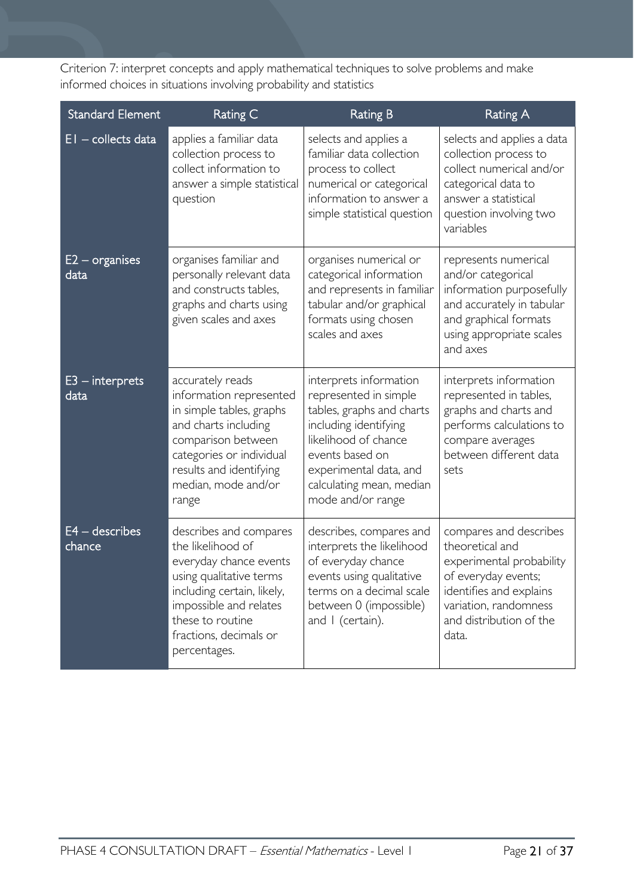Criterion 7: interpret concepts and apply mathematical techniques to solve problems and make informed choices in situations involving probability and statistics

| <b>Standard Element</b>         | Rating C                                                                                                                                                                                                               | <b>Rating B</b>                                                                                                                                                                                                             | <b>Rating A</b>                                                                                                                                                                      |
|---------------------------------|------------------------------------------------------------------------------------------------------------------------------------------------------------------------------------------------------------------------|-----------------------------------------------------------------------------------------------------------------------------------------------------------------------------------------------------------------------------|--------------------------------------------------------------------------------------------------------------------------------------------------------------------------------------|
| $\overline{EI}$ – collects data | applies a familiar data<br>collection process to<br>collect information to<br>answer a simple statistical<br>question                                                                                                  | selects and applies a<br>familiar data collection<br>process to collect<br>numerical or categorical<br>information to answer a<br>simple statistical question                                                               | selects and applies a data<br>collection process to<br>collect numerical and/or<br>categorical data to<br>answer a statistical<br>question involving two<br>variables                |
| $E2$ – organises<br>data        | organises familiar and<br>personally relevant data<br>and constructs tables,<br>graphs and charts using<br>given scales and axes                                                                                       | organises numerical or<br>categorical information<br>and represents in familiar<br>tabular and/or graphical<br>formats using chosen<br>scales and axes                                                                      | represents numerical<br>and/or categorical<br>information purposefully<br>and accurately in tabular<br>and graphical formats<br>using appropriate scales<br>and axes                 |
| $E3$ – interprets<br>data       | accurately reads<br>information represented<br>in simple tables, graphs<br>and charts including<br>comparison between<br>categories or individual<br>results and identifying<br>median, mode and/or<br>range           | interprets information<br>represented in simple<br>tables, graphs and charts<br>including identifying<br>likelihood of chance<br>events based on<br>experimental data, and<br>calculating mean, median<br>mode and/or range | interprets information<br>represented in tables,<br>graphs and charts and<br>performs calculations to<br>compare averages<br>between different data<br>sets                          |
| $E4 -$ describes<br>chance      | describes and compares<br>the likelihood of<br>everyday chance events<br>using qualitative terms<br>including certain, likely,<br>impossible and relates<br>these to routine<br>fractions, decimals or<br>percentages. | describes, compares and<br>interprets the likelihood<br>of everyday chance<br>events using qualitative<br>terms on a decimal scale<br>between 0 (impossible)<br>and I (certain).                                            | compares and describes<br>theoretical and<br>experimental probability<br>of everyday events;<br>identifies and explains<br>variation, randomness<br>and distribution of the<br>data. |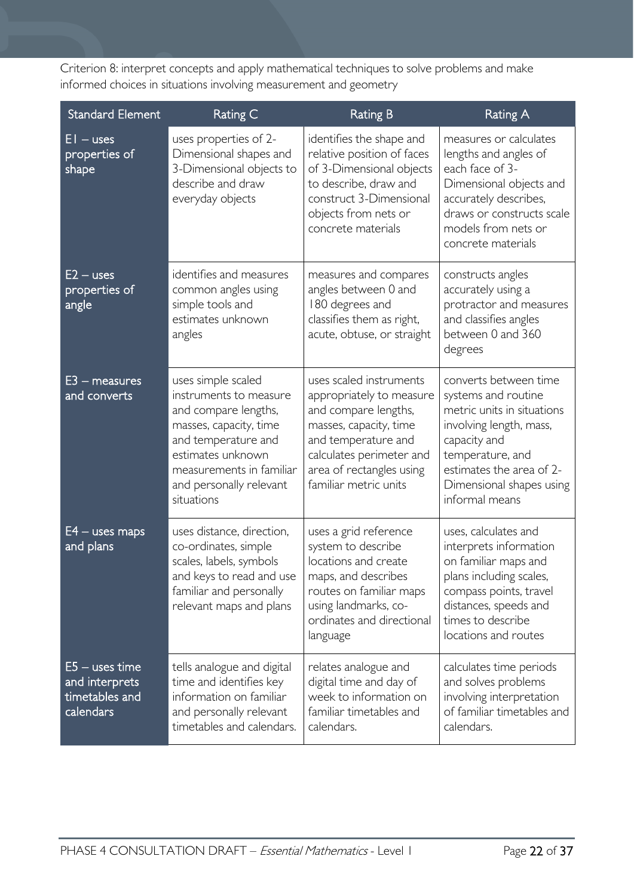Criterion 8: interpret concepts and apply mathematical techniques to solve problems and make informed choices in situations involving measurement and geometry

<span id="page-21-0"></span>

| <b>Standard Element</b>                                           | Rating C                                                                                                                                                                                                        | <b>Rating B</b>                                                                                                                                                                                               | <b>Rating A</b>                                                                                                                                                                                                     |
|-------------------------------------------------------------------|-----------------------------------------------------------------------------------------------------------------------------------------------------------------------------------------------------------------|---------------------------------------------------------------------------------------------------------------------------------------------------------------------------------------------------------------|---------------------------------------------------------------------------------------------------------------------------------------------------------------------------------------------------------------------|
| $EI - uses$<br>properties of<br>shape                             | uses properties of 2-<br>Dimensional shapes and<br>3-Dimensional objects to<br>describe and draw<br>everyday objects                                                                                            | identifies the shape and<br>relative position of faces<br>of 3-Dimensional objects<br>to describe, draw and<br>construct 3-Dimensional<br>objects from nets or<br>concrete materials                          | measures or calculates<br>lengths and angles of<br>each face of 3-<br>Dimensional objects and<br>accurately describes,<br>draws or constructs scale<br>models from nets or<br>concrete materials                    |
| $E2 - uses$<br>properties of<br>angle                             | identifies and measures<br>common angles using<br>simple tools and<br>estimates unknown<br>angles                                                                                                               | measures and compares<br>angles between 0 and<br>180 degrees and<br>classifies them as right,<br>acute, obtuse, or straight                                                                                   | constructs angles<br>accurately using a<br>protractor and measures<br>and classifies angles<br>between 0 and 360<br>degrees                                                                                         |
| $E3$ – measures<br>and converts                                   | uses simple scaled<br>instruments to measure<br>and compare lengths,<br>masses, capacity, time<br>and temperature and<br>estimates unknown<br>measurements in familiar<br>and personally relevant<br>situations | uses scaled instruments<br>appropriately to measure<br>and compare lengths,<br>masses, capacity, time<br>and temperature and<br>calculates perimeter and<br>area of rectangles using<br>familiar metric units | converts between time<br>systems and routine<br>metric units in situations<br>involving length, mass,<br>capacity and<br>temperature, and<br>estimates the area of 2-<br>Dimensional shapes using<br>informal means |
| $E4 -$ uses maps<br>and plans                                     | uses distance, direction,<br>co-ordinates, simple<br>scales, labels, symbols<br>and keys to read and use<br>familiar and personally<br>relevant maps and plans                                                  | uses a grid reference<br>system to describe<br>locations and create<br>maps, and describes<br>routes on familiar maps<br>using landmarks, co-<br>ordinates and directional<br>language                        | uses, calculates and<br>interprets information<br>on familiar maps and<br>plans including scales,<br>compass points, travel<br>distances, speeds and<br>times to describe<br>locations and routes                   |
| $E5 -$ uses time<br>and interprets<br>timetables and<br>calendars | tells analogue and digital<br>time and identifies key<br>information on familiar<br>and personally relevant<br>timetables and calendars.                                                                        | relates analogue and<br>digital time and day of<br>week to information on<br>familiar timetables and<br>calendars.                                                                                            | calculates time periods<br>and solves problems<br>involving interpretation<br>of familiar timetables and<br>calendars.                                                                                              |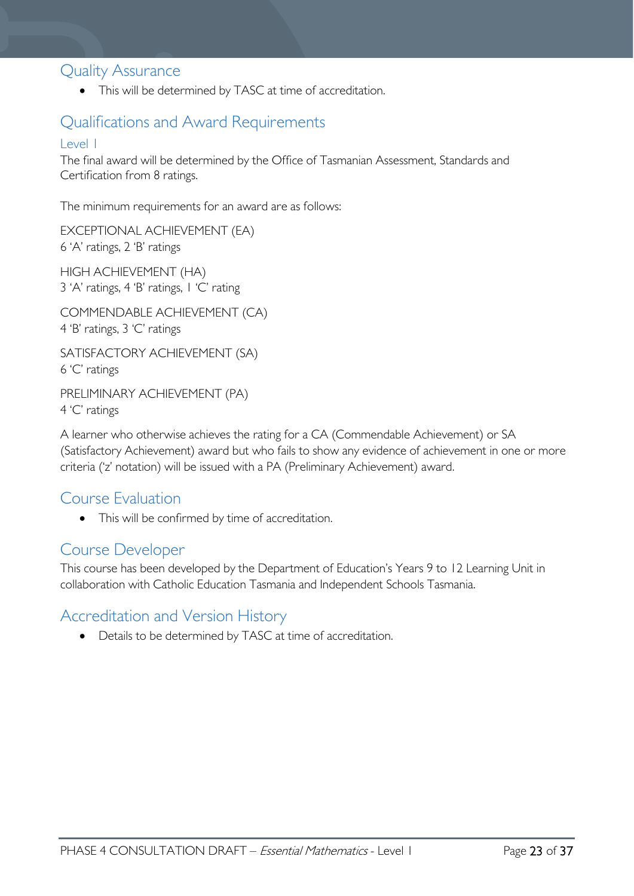## Quality Assurance

• This will be determined by TASC at time of accreditation.

## <span id="page-22-0"></span>Qualifications and Award Requirements

#### <span id="page-22-1"></span>Level 1

The final award will be determined by the Office of Tasmanian Assessment, Standards and Certification from 8 ratings.

The minimum requirements for an award are as follows:

EXCEPTIONAL ACHIEVEMENT (EA) 6 'A' ratings, 2 'B' ratings

HIGH ACHIEVEMENT (HA) 3 'A' ratings, 4 'B' ratings, 1 'C' rating

COMMENDABLE ACHIEVEMENT (CA) 4 'B' ratings, 3 'C' ratings

SATISFACTORY ACHIEVEMENT (SA) 6 'C' ratings

PRELIMINARY ACHIEVEMENT (PA) 4 'C' ratings

A learner who otherwise achieves the rating for a CA (Commendable Achievement) or SA (Satisfactory Achievement) award but who fails to show any evidence of achievement in one or more criteria ('z' notation) will be issued with a PA (Preliminary Achievement) award.

## <span id="page-22-2"></span>Course Evaluation

• This will be confirmed by time of accreditation.

#### <span id="page-22-3"></span>Course Developer

This course has been developed by the Department of Education's Years 9 to 12 Learning Unit in collaboration with Catholic Education Tasmania and Independent Schools Tasmania.

## <span id="page-22-4"></span>Accreditation and Version History

• Details to be determined by TASC at time of accreditation.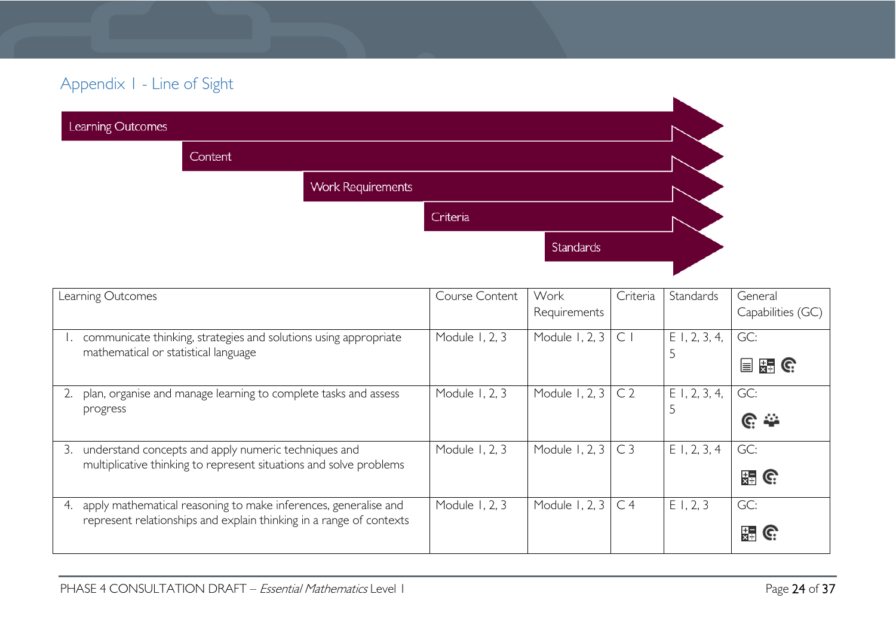# Appendix 1 - Line of Sight

| Learning Outcomes |                |                          |          |           |  |
|-------------------|----------------|--------------------------|----------|-----------|--|
|                   | <b>Content</b> |                          |          |           |  |
|                   |                | <b>Work Requirements</b> |          |           |  |
|                   |                |                          | Criteria |           |  |
|                   |                |                          |          | Standards |  |
|                   |                |                          |          |           |  |

<span id="page-23-0"></span>

|    | Learning Outcomes                                                                                                                      | Course Content | Work<br>Requirements | Criteria       | Standards            | General<br>Capabilities (GC)         |
|----|----------------------------------------------------------------------------------------------------------------------------------------|----------------|----------------------|----------------|----------------------|--------------------------------------|
|    | communicate thinking, strategies and solutions using appropriate<br>mathematical or statistical language                               | Module 1, 2, 3 | Module 1, 2, 3       | $\subset$      | $E$ 1, 2, 3, 4,<br>5 | GC:<br>$\frac{1}{24}$ G.<br>$\equiv$ |
| 2. | plan, organise and manage learning to complete tasks and assess<br>progress                                                            | Module 1, 2, 3 | Module 1, 2, 3       | C <sub>2</sub> | $E$ 1, 2, 3, 4,<br>5 | GC:<br>فنفا<br>G.                    |
| 3. | understand concepts and apply numeric techniques and<br>multiplicative thinking to represent situations and solve problems             | Module 1, 2, 3 | Module 1, 2, 3       | C <sub>3</sub> | E1, 2, 3, 4          | GC:<br>盟 G                           |
| 4. | apply mathematical reasoning to make inferences, generalise and<br>represent relationships and explain thinking in a range of contexts | Module 1, 2, 3 | Module 1, 2, 3       | C <sub>4</sub> | E1, 2, 3             | GC:<br>물<br>G.                       |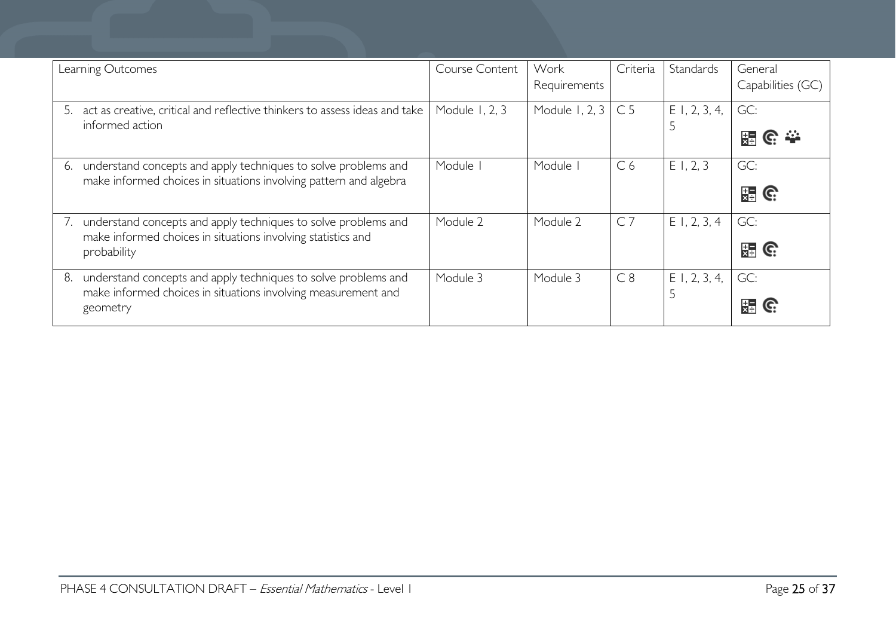| Learning Outcomes     |                                                                                                                                     | Course Content | Work<br>Requirements | Criteria       | Standards       | General<br>Capabilities (GC) |
|-----------------------|-------------------------------------------------------------------------------------------------------------------------------------|----------------|----------------------|----------------|-----------------|------------------------------|
| 5.<br>informed action | act as creative, critical and reflective thinkers to assess ideas and take                                                          | Module 1, 2, 3 | Module 1, 2, 3       | C <sub>5</sub> | $E$ 1, 2, 3, 4, | GC:<br><u>େ କ</u><br>麻       |
| 6.                    | understand concepts and apply techniques to solve problems and<br>make informed choices in situations involving pattern and algebra | Module         | Module               | C <sub>6</sub> | E1, 2, 3        | GC:<br>$\frac{1}{24}$ G      |
| probability           | understand concepts and apply techniques to solve problems and<br>make informed choices in situations involving statistics and      | Module 2       | Module 2             | C <sub>7</sub> | $E$ 1, 2, 3, 4  | GC:<br>$\frac{1}{24}$ G      |
| 8.<br>geometry        | understand concepts and apply techniques to solve problems and<br>make informed choices in situations involving measurement and     | Module 3       | Module 3             | C8             | $E$ 1, 2, 3, 4, | GC:<br>뜳<br>C.               |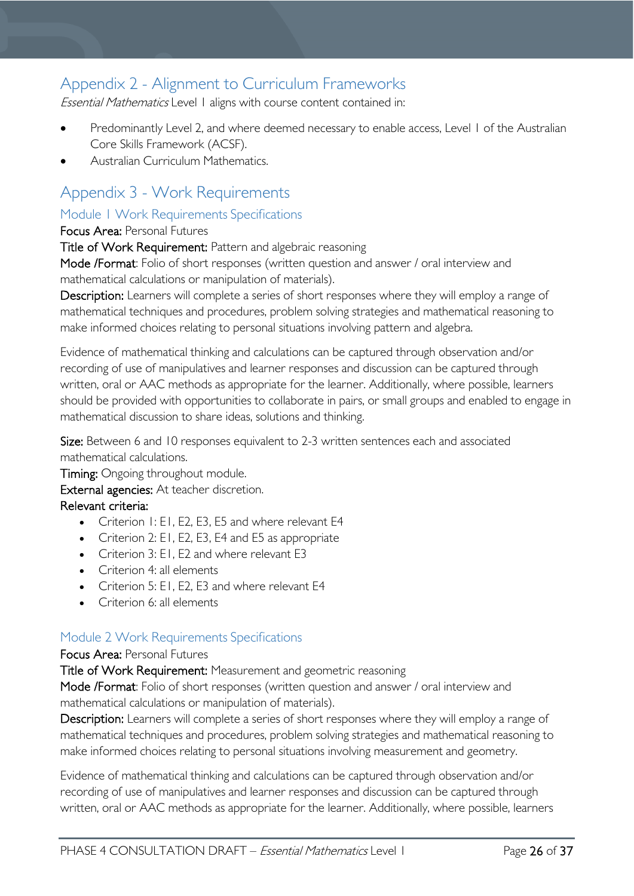## <span id="page-25-0"></span>Appendix 2 - Alignment to Curriculum Frameworks

Essential Mathematics Level 1 aligns with course content contained in:

- Predominantly Level 2, and where deemed necessary to enable access, Level 1 of the Australian Core Skills Framework (ACSF).
- Australian Curriculum Mathematics.

## <span id="page-25-1"></span>Appendix 3 - Work Requirements

### <span id="page-25-2"></span>Module 1 Work Requirements Specifications

#### Focus Area: Personal Futures

Title of Work Requirement: Pattern and algebraic reasoning

Mode /Format: Folio of short responses (written question and answer / oral interview and mathematical calculations or manipulation of materials).

Description: Learners will complete a series of short responses where they will employ a range of mathematical techniques and procedures, problem solving strategies and mathematical reasoning to make informed choices relating to personal situations involving pattern and algebra.

Evidence of mathematical thinking and calculations can be captured through observation and/or recording of use of manipulatives and learner responses and discussion can be captured through written, oral or AAC methods as appropriate for the learner. Additionally, where possible, learners should be provided with opportunities to collaborate in pairs, or small groups and enabled to engage in mathematical discussion to share ideas, solutions and thinking.

Size: Between 6 and 10 responses equivalent to 2-3 written sentences each and associated mathematical calculations.

Timing: Ongoing throughout module.

External agencies: At teacher discretion.

#### Relevant criteria:

- Criterion 1: E1, E2, E3, E5 and where relevant E4
- Criterion 2: E1, E2, E3, E4 and E5 as appropriate
- Criterion 3: E1, E2 and where relevant E3
- Criterion 4: all elements
- Criterion 5: E1, E2, E3 and where relevant E4
- Criterion 6: all elements

#### <span id="page-25-3"></span>Module 2 Work Requirements Specifications

#### Focus Area: Personal Futures

Title of Work Requirement: Measurement and geometric reasoning

Mode /Format: Folio of short responses (written question and answer / oral interview and mathematical calculations or manipulation of materials).

Description: Learners will complete a series of short responses where they will employ a range of mathematical techniques and procedures, problem solving strategies and mathematical reasoning to make informed choices relating to personal situations involving measurement and geometry.

Evidence of mathematical thinking and calculations can be captured through observation and/or recording of use of manipulatives and learner responses and discussion can be captured through written, oral or AAC methods as appropriate for the learner. Additionally, where possible, learners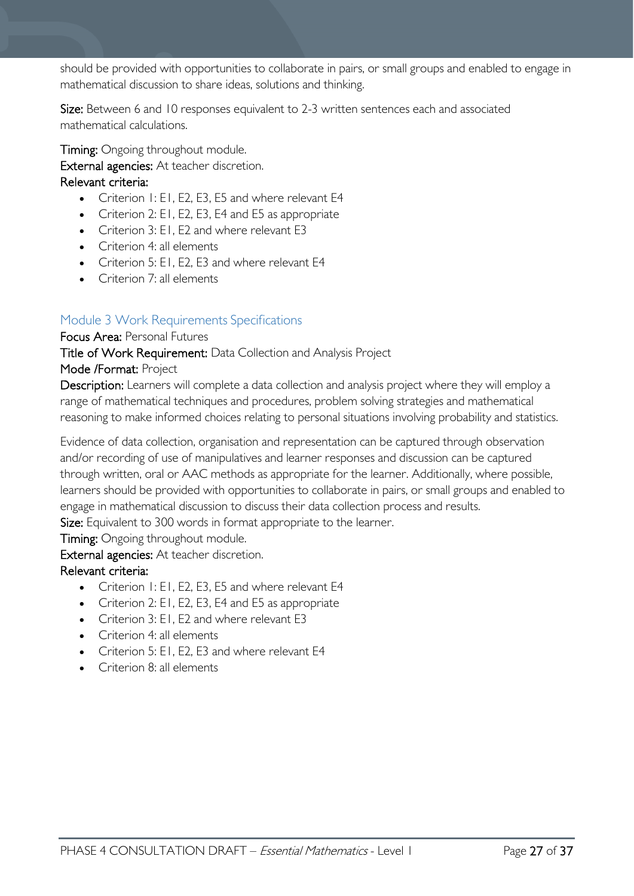should be provided with opportunities to collaborate in pairs, or small groups and enabled to engage in mathematical discussion to share ideas, solutions and thinking.

Size: Between 6 and 10 responses equivalent to 2-3 written sentences each and associated mathematical calculations.

Timing: Ongoing throughout module. External agencies: At teacher discretion. Relevant criteria:

- Criterion 1: E1, E2, E3, E5 and where relevant E4
- Criterion 2: E1, E2, E3, E4 and E5 as appropriate
- Criterion 3: E1, E2 and where relevant E3
- Criterion 4: all elements
- Criterion 5: E1, E2, E3 and where relevant E4
- Criterion 7: all elements

#### <span id="page-26-0"></span>Module 3 Work Requirements Specifications

#### Focus Area: Personal Futures

Title of Work Requirement: Data Collection and Analysis Project

Mode /Format: Project

Description: Learners will complete a data collection and analysis project where they will employ a range of mathematical techniques and procedures, problem solving strategies and mathematical reasoning to make informed choices relating to personal situations involving probability and statistics.

Evidence of data collection, organisation and representation can be captured through observation and/or recording of use of manipulatives and learner responses and discussion can be captured through written, oral or AAC methods as appropriate for the learner. Additionally, where possible, learners should be provided with opportunities to collaborate in pairs, or small groups and enabled to engage in mathematical discussion to discuss their data collection process and results.

Size: Equivalent to 300 words in format appropriate to the learner.

Timing: Ongoing throughout module.

External agencies: At teacher discretion.

#### Relevant criteria:

- Criterion 1: E1, E2, E3, E5 and where relevant E4
- Criterion 2: E1, E2, E3, E4 and E5 as appropriate
- Criterion 3: EL E2 and where relevant E3
- Criterion 4: all elements
- Criterion 5: E1, E2, E3 and where relevant E4
- Criterion 8: all elements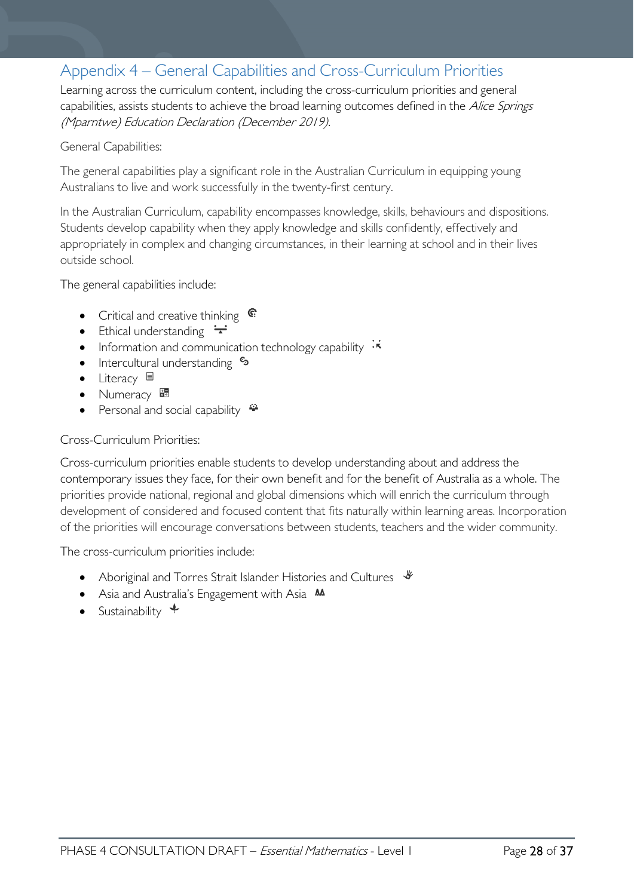## <span id="page-27-0"></span>Appendix 4 – General Capabilities and Cross-Curriculum Priorities

Learning across the curriculum content, including the cross-curriculum priorities and general capabilities, assists students to achieve the broad learning outcomes defined in the Alice Springs (Mparntwe) Education Declaration (December 2019).

#### General Capabilities:

The general capabilities play a significant role in the Australian Curriculum in equipping young Australians to live and work successfully in the twenty-first century.

In the Australian Curriculum, capability encompasses knowledge, skills, behaviours and dispositions. Students develop capability when they apply knowledge and skills confidently, effectively and appropriately in complex and changing circumstances, in their learning at school and in their lives outside school.

The general capabilities include:

- Critical and creative thinking  $\mathbb{C}$
- Ethical understanding  $\div$
- Information and communication technology capability  $\cdot \star$
- Intercultural understanding •
- Literacy  $\blacksquare$
- Numeracy
- Personal and social capability  $\ddot{\ddot{\bullet}}$

#### Cross-Curriculum Priorities:

Cross-curriculum priorities enable students to develop understanding about and address the contemporary issues they face, for their own benefit and for the benefit of Australia as a whole. The priorities provide national, regional and global dimensions which will enrich the curriculum through development of considered and focused content that fits naturally within learning areas. Incorporation of the priorities will encourage conversations between students, teachers and the wider community.

The cross-curriculum priorities include:

- Aboriginal and Torres Strait Islander Histories and Cultures  $\frac{4}{3}$
- Asia and Australia's Engagement with Asia **AA**
- Sustainability  $\triangleleft$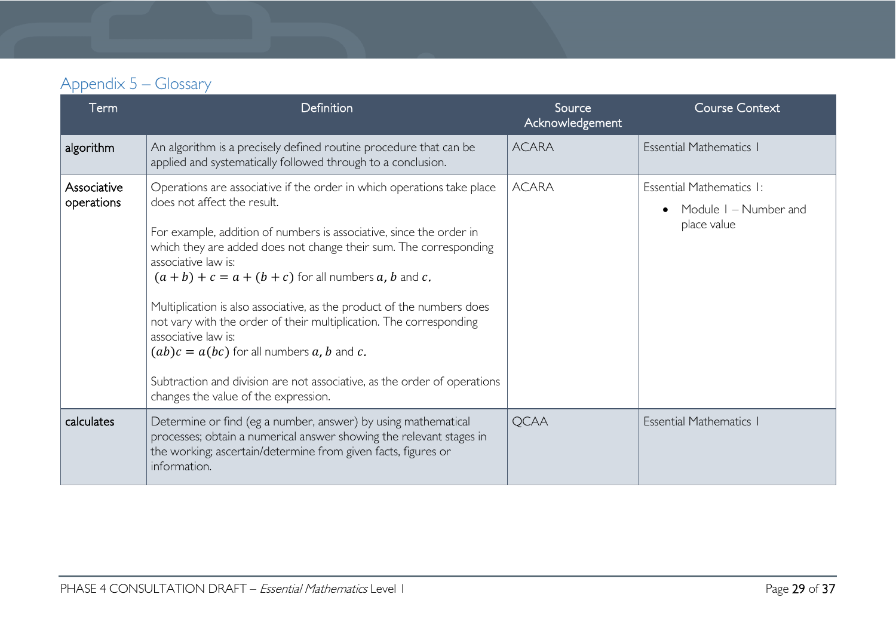# Appendix 5 – Glossary

<span id="page-28-0"></span>

| Term                      | Definition                                                                                                                                                                                                                                                                                                                                                                                                                                                                                                                                                                                                                                                                    | Source<br>Acknowledgement | <b>Course Context</b>                                            |
|---------------------------|-------------------------------------------------------------------------------------------------------------------------------------------------------------------------------------------------------------------------------------------------------------------------------------------------------------------------------------------------------------------------------------------------------------------------------------------------------------------------------------------------------------------------------------------------------------------------------------------------------------------------------------------------------------------------------|---------------------------|------------------------------------------------------------------|
| algorithm                 | An algorithm is a precisely defined routine procedure that can be<br>applied and systematically followed through to a conclusion.                                                                                                                                                                                                                                                                                                                                                                                                                                                                                                                                             | <b>ACARA</b>              | <b>Essential Mathematics I</b>                                   |
| Associative<br>operations | Operations are associative if the order in which operations take place<br>does not affect the result.<br>For example, addition of numbers is associative, since the order in<br>which they are added does not change their sum. The corresponding<br>associative law is:<br>$(a + b) + c = a + (b + c)$ for all numbers a, b and c.<br>Multiplication is also associative, as the product of the numbers does<br>not vary with the order of their multiplication. The corresponding<br>associative law is:<br>$(ab)c = a(bc)$ for all numbers a, b and c.<br>Subtraction and division are not associative, as the order of operations<br>changes the value of the expression. | <b>ACARA</b>              | Essential Mathematics I:<br>Module I – Number and<br>place value |
| calculates                | Determine or find (eg a number, answer) by using mathematical<br>processes; obtain a numerical answer showing the relevant stages in<br>the working; ascertain/determine from given facts, figures or<br>information.                                                                                                                                                                                                                                                                                                                                                                                                                                                         | <b>QCAA</b>               | <b>Essential Mathematics I</b>                                   |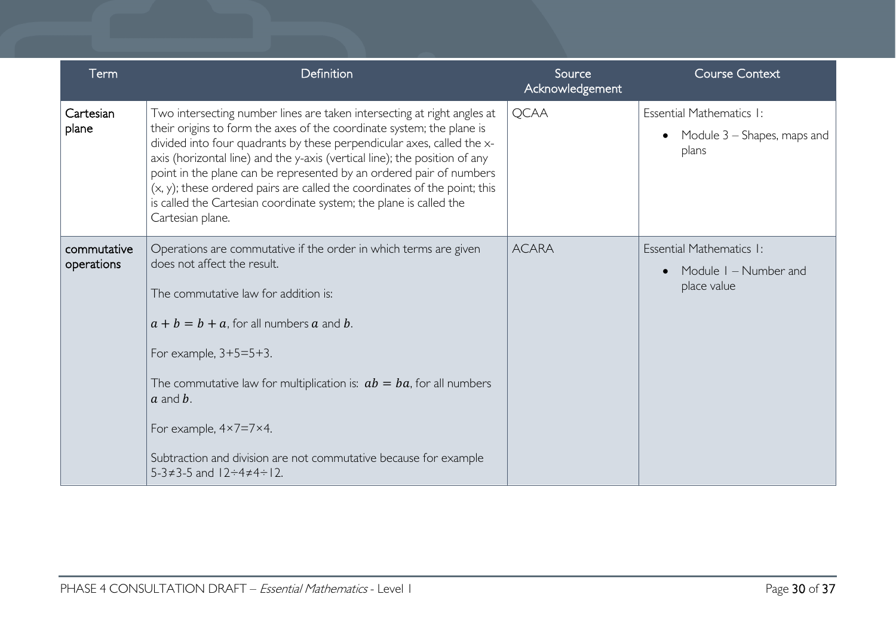| Term                      | Definition                                                                                                                                                                                                                                                                                                                                                                                                                                                                                                                                             | Source<br>Acknowledgement | <b>Course Context</b>                                            |
|---------------------------|--------------------------------------------------------------------------------------------------------------------------------------------------------------------------------------------------------------------------------------------------------------------------------------------------------------------------------------------------------------------------------------------------------------------------------------------------------------------------------------------------------------------------------------------------------|---------------------------|------------------------------------------------------------------|
| Cartesian<br>plane        | Two intersecting number lines are taken intersecting at right angles at<br>their origins to form the axes of the coordinate system; the plane is<br>divided into four quadrants by these perpendicular axes, called the x-<br>axis (horizontal line) and the y-axis (vertical line); the position of any<br>point in the plane can be represented by an ordered pair of numbers<br>(x, y); these ordered pairs are called the coordinates of the point; this<br>is called the Cartesian coordinate system; the plane is called the<br>Cartesian plane. | <b>QCAA</b>               | Essential Mathematics I:<br>Module 3 – Shapes, maps and<br>plans |
| commutative<br>operations | Operations are commutative if the order in which terms are given<br>does not affect the result.<br>The commutative law for addition is:<br>$a + b = b + a$ , for all numbers a and b.<br>For example, $3+5=5+3$ .<br>The commutative law for multiplication is: $ab = ba$ , for all numbers<br>$a$ and $b$ .<br>For example, $4 \times 7 = 7 \times 4$ .<br>Subtraction and division are not commutative because for example<br>$5 - 3 \neq 3 - 5$ and $12 \div 4 \neq 4 \div 12$ .                                                                    | <b>ACARA</b>              | Essential Mathematics I:<br>Module I - Number and<br>place value |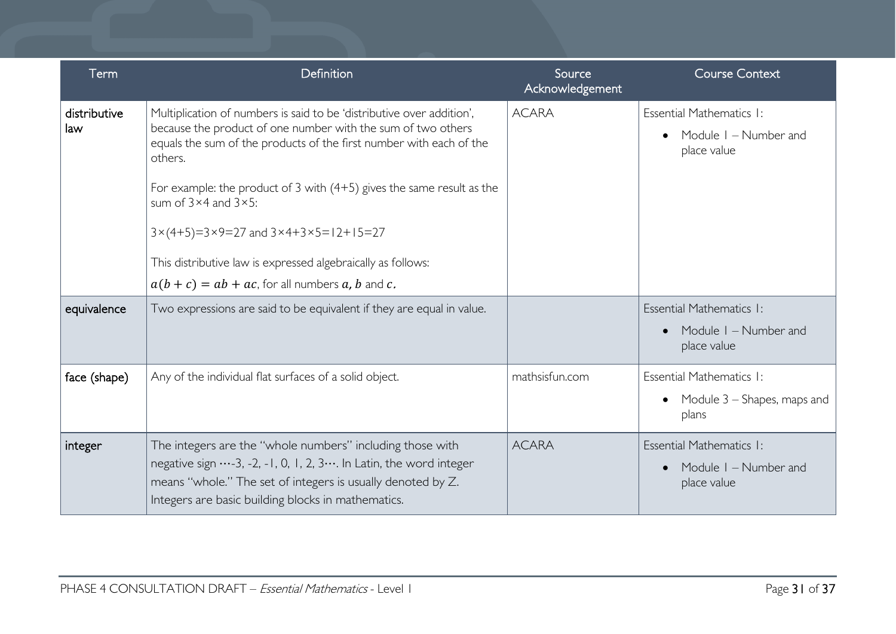| Term                | Definition                                                                                                                                                                                                                                                                                                                                                                                                                                                                                                                                            | Source<br>Acknowledgement | <b>Course Context</b>                                                         |
|---------------------|-------------------------------------------------------------------------------------------------------------------------------------------------------------------------------------------------------------------------------------------------------------------------------------------------------------------------------------------------------------------------------------------------------------------------------------------------------------------------------------------------------------------------------------------------------|---------------------------|-------------------------------------------------------------------------------|
| distributive<br>law | Multiplication of numbers is said to be 'distributive over addition',<br>because the product of one number with the sum of two others<br>equals the sum of the products of the first number with each of the<br>others.<br>For example: the product of 3 with $(4+5)$ gives the same result as the<br>sum of $3 \times 4$ and $3 \times 5$ :<br>$3 \times (4+5) = 3 \times 9 = 27$ and $3 \times 4 + 3 \times 5 = 12 + 15 = 27$<br>This distributive law is expressed algebraically as follows:<br>$a(b + c) = ab + ac$ , for all numbers a, b and c. | <b>ACARA</b>              | Essential Mathematics I:<br>Module I – Number and<br>place value              |
| equivalence         | Two expressions are said to be equivalent if they are equal in value.                                                                                                                                                                                                                                                                                                                                                                                                                                                                                 |                           | Essential Mathematics I:<br>Module I - Number and<br>place value              |
| face (shape)        | Any of the individual flat surfaces of a solid object.                                                                                                                                                                                                                                                                                                                                                                                                                                                                                                | mathsisfun.com            | Essential Mathematics I:<br>Module 3 – Shapes, maps and<br>plans              |
| integer             | The integers are the "whole numbers" including those with<br>negative sign -3, -2, -1, 0, 1, 2, 3 In Latin, the word integer<br>means "whole." The set of integers is usually denoted by Z.<br>Integers are basic building blocks in mathematics.                                                                                                                                                                                                                                                                                                     | <b>ACARA</b>              | Essential Mathematics I:<br>Module I – Number and<br>$\bullet$<br>place value |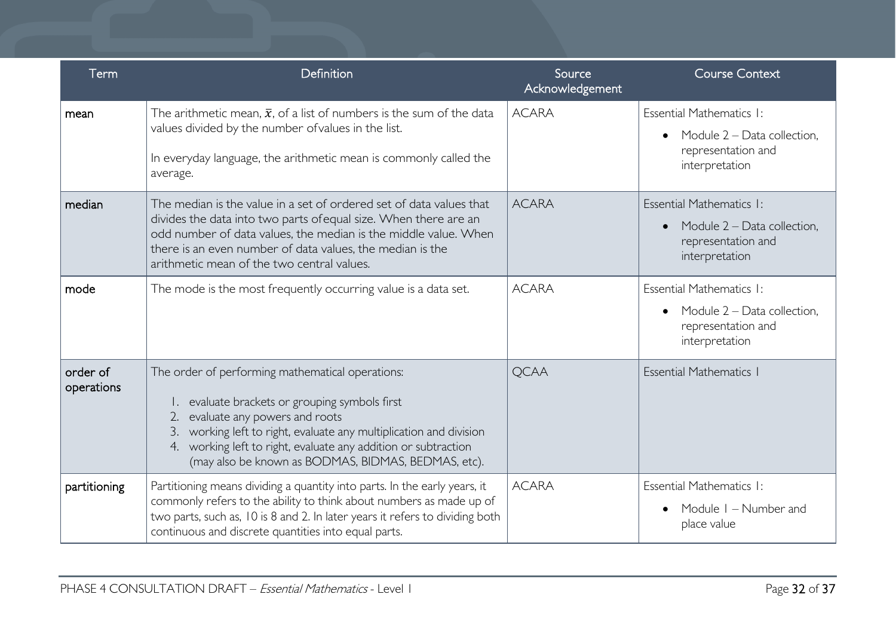| Term                   | Definition                                                                                                                                                                                                                                                                                                                            | Source<br>Acknowledgement | <b>Course Context</b>                                                                                          |
|------------------------|---------------------------------------------------------------------------------------------------------------------------------------------------------------------------------------------------------------------------------------------------------------------------------------------------------------------------------------|---------------------------|----------------------------------------------------------------------------------------------------------------|
| mean                   | The arithmetic mean, $\bar{x}$ , of a list of numbers is the sum of the data<br>values divided by the number of values in the list.<br>In everyday language, the arithmetic mean is commonly called the<br>average.                                                                                                                   | <b>ACARA</b>              | Essential Mathematics I:<br>Module $2$ – Data collection,<br>$\bullet$<br>representation and<br>interpretation |
| median                 | The median is the value in a set of ordered set of data values that<br>divides the data into two parts of equal size. When there are an<br>odd number of data values, the median is the middle value. When<br>there is an even number of data values, the median is the<br>arithmetic mean of the two central values.                 | <b>ACARA</b>              | Essential Mathematics 1:<br>Module $2$ – Data collection,<br>$\bullet$<br>representation and<br>interpretation |
| mode                   | The mode is the most frequently occurring value is a data set.                                                                                                                                                                                                                                                                        | <b>ACARA</b>              | Essential Mathematics I:<br>Module $2$ – Data collection,<br>$\bullet$<br>representation and<br>interpretation |
| order of<br>operations | The order of performing mathematical operations:<br>1. evaluate brackets or grouping symbols first<br>2. evaluate any powers and roots<br>3. working left to right, evaluate any multiplication and division<br>4. working left to right, evaluate any addition or subtraction<br>(may also be known as BODMAS, BIDMAS, BEDMAS, etc). | <b>QCAA</b>               | <b>Essential Mathematics I</b>                                                                                 |
| partitioning           | Partitioning means dividing a quantity into parts. In the early years, it<br>commonly refers to the ability to think about numbers as made up of<br>two parts, such as, 10 is 8 and 2. In later years it refers to dividing both<br>continuous and discrete quantities into equal parts.                                              | <b>ACARA</b>              | Essential Mathematics 1:<br>Module I – Number and<br>place value                                               |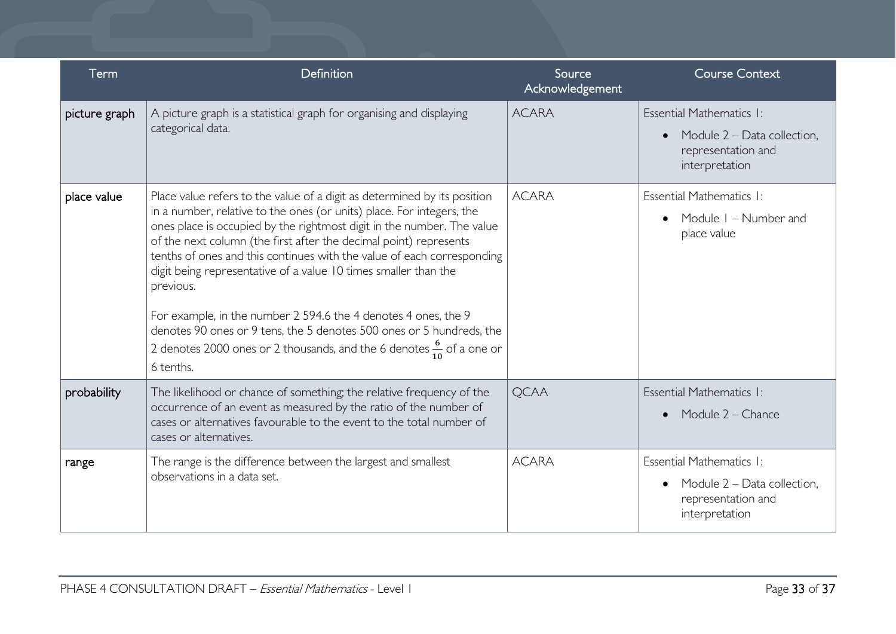| Term          | Definition                                                                                                                                                                                                                                                                                                                                                                                                                                                                                                                                                                                                                                                                                            | Source<br>Acknowledgement | <b>Course Context</b>                                                                                        |
|---------------|-------------------------------------------------------------------------------------------------------------------------------------------------------------------------------------------------------------------------------------------------------------------------------------------------------------------------------------------------------------------------------------------------------------------------------------------------------------------------------------------------------------------------------------------------------------------------------------------------------------------------------------------------------------------------------------------------------|---------------------------|--------------------------------------------------------------------------------------------------------------|
| picture graph | A picture graph is a statistical graph for organising and displaying<br>categorical data.                                                                                                                                                                                                                                                                                                                                                                                                                                                                                                                                                                                                             | <b>ACARA</b>              | Essential Mathematics I:<br>Module 2 - Data collection,<br>$\bullet$<br>representation and<br>interpretation |
| place value   | Place value refers to the value of a digit as determined by its position<br>in a number, relative to the ones (or units) place. For integers, the<br>ones place is occupied by the rightmost digit in the number. The value<br>of the next column (the first after the decimal point) represents<br>tenths of ones and this continues with the value of each corresponding<br>digit being representative of a value 10 times smaller than the<br>previous.<br>For example, in the number 2 594.6 the 4 denotes 4 ones, the 9<br>denotes 90 ones or 9 tens, the 5 denotes 500 ones or 5 hundreds, the<br>2 denotes 2000 ones or 2 thousands, and the 6 denotes $\frac{6}{10}$ of a one or<br>6 tenths. | <b>ACARA</b>              | Essential Mathematics I:<br>Module I – Number and<br>place value                                             |
| probability   | The likelihood or chance of something; the relative frequency of the<br>occurrence of an event as measured by the ratio of the number of<br>cases or alternatives favourable to the event to the total number of<br>cases or alternatives.                                                                                                                                                                                                                                                                                                                                                                                                                                                            | <b>QCAA</b>               | Essential Mathematics I:<br>Module 2 – Chance<br>$\bullet$                                                   |
| range         | The range is the difference between the largest and smallest<br>observations in a data set.                                                                                                                                                                                                                                                                                                                                                                                                                                                                                                                                                                                                           | <b>ACARA</b>              | Essential Mathematics I:<br>Module 2 - Data collection,<br>representation and<br>interpretation              |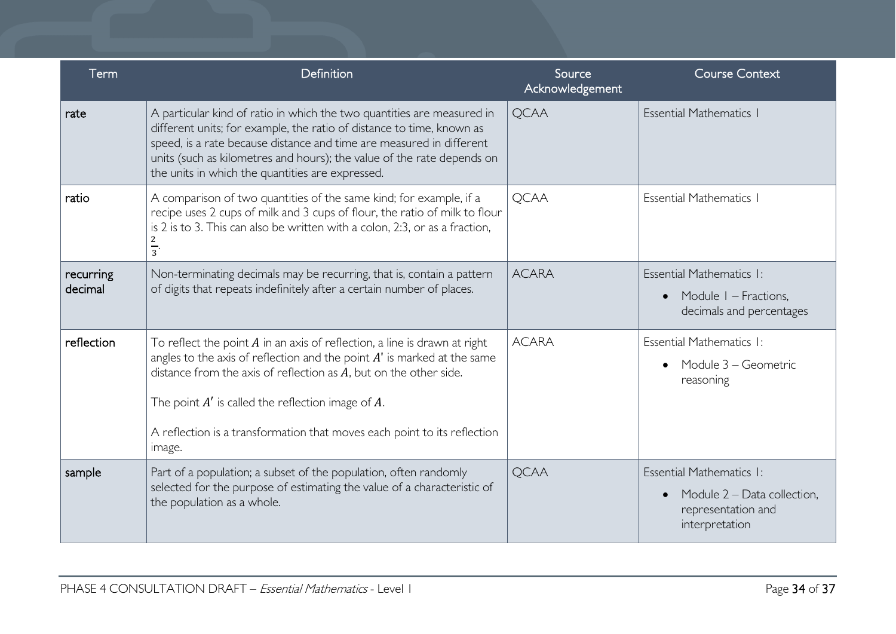| Term                 | Definition                                                                                                                                                                                                                                                                                                                                                                       | Source<br>Acknowledgement | <b>Course Context</b>                                                                                        |
|----------------------|----------------------------------------------------------------------------------------------------------------------------------------------------------------------------------------------------------------------------------------------------------------------------------------------------------------------------------------------------------------------------------|---------------------------|--------------------------------------------------------------------------------------------------------------|
| rate                 | A particular kind of ratio in which the two quantities are measured in<br>different units; for example, the ratio of distance to time, known as<br>speed, is a rate because distance and time are measured in different<br>units (such as kilometres and hours); the value of the rate depends on<br>the units in which the quantities are expressed.                            | <b>QCAA</b>               | <b>Essential Mathematics I</b>                                                                               |
| ratio                | A comparison of two quantities of the same kind; for example, if a<br>recipe uses 2 cups of milk and 3 cups of flour, the ratio of milk to flour<br>is 2 is to 3. This can also be written with a colon, 2:3, or as a fraction,<br>$\frac{1}{3}$                                                                                                                                 | <b>QCAA</b>               | <b>Essential Mathematics I</b>                                                                               |
| recurring<br>decimal | Non-terminating decimals may be recurring, that is, contain a pattern<br>of digits that repeats indefinitely after a certain number of places.                                                                                                                                                                                                                                   | <b>ACARA</b>              | Essential Mathematics I:<br>Module I - Fractions,<br>$\bullet$<br>decimals and percentages                   |
| reflection           | To reflect the point $A$ in an axis of reflection, a line is drawn at right<br>angles to the axis of reflection and the point $A'$ is marked at the same<br>distance from the axis of reflection as $A$ , but on the other side.<br>The point $A'$ is called the reflection image of $A$ .<br>A reflection is a transformation that moves each point to its reflection<br>image. | <b>ACARA</b>              | Essential Mathematics I:<br>Module 3 – Geometric<br>reasoning                                                |
| sample               | Part of a population; a subset of the population, often randomly<br>selected for the purpose of estimating the value of a characteristic of<br>the population as a whole.                                                                                                                                                                                                        | <b>QCAA</b>               | Essential Mathematics I:<br>Module 2 – Data collection,<br>$\bullet$<br>representation and<br>interpretation |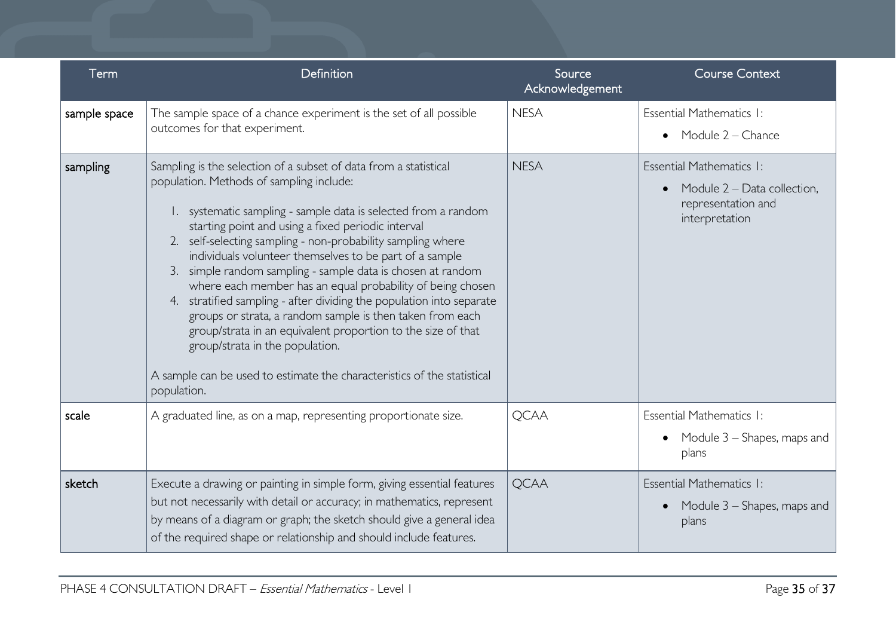| Term         | Definition                                                                                                                                                                                                                                                                                                                                                                                                                                                                                                                                                                                                                                                                                                                                                                                                                    | Source<br>Acknowledgement | <b>Course Context</b>                                                                                        |
|--------------|-------------------------------------------------------------------------------------------------------------------------------------------------------------------------------------------------------------------------------------------------------------------------------------------------------------------------------------------------------------------------------------------------------------------------------------------------------------------------------------------------------------------------------------------------------------------------------------------------------------------------------------------------------------------------------------------------------------------------------------------------------------------------------------------------------------------------------|---------------------------|--------------------------------------------------------------------------------------------------------------|
| sample space | The sample space of a chance experiment is the set of all possible<br>outcomes for that experiment.                                                                                                                                                                                                                                                                                                                                                                                                                                                                                                                                                                                                                                                                                                                           | <b>NESA</b>               | Essential Mathematics I:<br>• Module $2$ – Chance                                                            |
| sampling     | Sampling is the selection of a subset of data from a statistical<br>population. Methods of sampling include:<br>I. systematic sampling - sample data is selected from a random<br>starting point and using a fixed periodic interval<br>2. self-selecting sampling - non-probability sampling where<br>individuals volunteer themselves to be part of a sample<br>3. simple random sampling - sample data is chosen at random<br>where each member has an equal probability of being chosen<br>4. stratified sampling - after dividing the population into separate<br>groups or strata, a random sample is then taken from each<br>group/strata in an equivalent proportion to the size of that<br>group/strata in the population.<br>A sample can be used to estimate the characteristics of the statistical<br>population. | <b>NESA</b>               | Essential Mathematics I:<br>Module 2 – Data collection,<br>$\bullet$<br>representation and<br>interpretation |
| scale        | A graduated line, as on a map, representing proportionate size.                                                                                                                                                                                                                                                                                                                                                                                                                                                                                                                                                                                                                                                                                                                                                               | <b>QCAA</b>               | Essential Mathematics I:<br>Module 3 – Shapes, maps and<br>plans                                             |
| sketch       | Execute a drawing or painting in simple form, giving essential features<br>but not necessarily with detail or accuracy; in mathematics, represent<br>by means of a diagram or graph; the sketch should give a general idea<br>of the required shape or relationship and should include features.                                                                                                                                                                                                                                                                                                                                                                                                                                                                                                                              | <b>QCAA</b>               | Essential Mathematics I:<br>Module 3 – Shapes, maps and<br>plans                                             |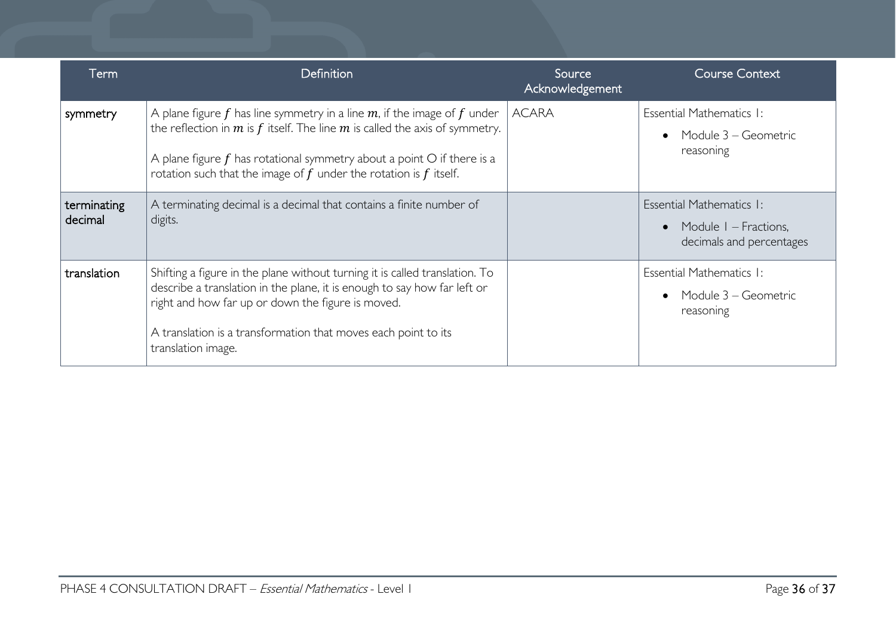| Term                   | <b>Definition</b>                                                                                                                                                                                                                                                                                                      | Source<br>Acknowledgement | <b>Course Context</b>                                                                      |
|------------------------|------------------------------------------------------------------------------------------------------------------------------------------------------------------------------------------------------------------------------------------------------------------------------------------------------------------------|---------------------------|--------------------------------------------------------------------------------------------|
| symmetry               | A plane figure f has line symmetry in a line $m$ , if the image of f under<br>the reflection in $m$ is $f$ itself. The line $m$ is called the axis of symmetry.<br>A plane figure $f$ has rotational symmetry about a point $O$ if there is a<br>rotation such that the image of $f$ under the rotation is $f$ itself. | <b>ACARA</b>              | Essential Mathematics I:<br>Module 3 – Geometric<br>$\bullet$<br>reasoning                 |
| terminating<br>decimal | A terminating decimal is a decimal that contains a finite number of<br>digits.                                                                                                                                                                                                                                         |                           | Essential Mathematics I:<br>Module I - Fractions,<br>$\bullet$<br>decimals and percentages |
| translation            | Shifting a figure in the plane without turning it is called translation. To<br>describe a translation in the plane, it is enough to say how far left or<br>right and how far up or down the figure is moved.<br>A translation is a transformation that moves each point to its<br>translation image.                   |                           | Essential Mathematics I:<br>Module 3 – Geometric<br>reasoning                              |